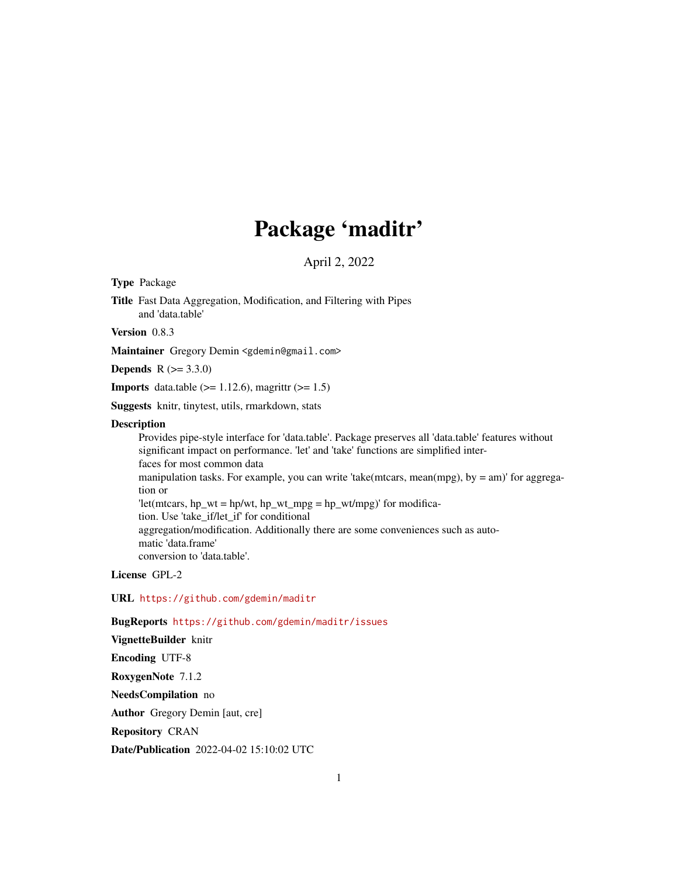# Package 'maditr'

April 2, 2022

<span id="page-0-0"></span>Type Package

Title Fast Data Aggregation, Modification, and Filtering with Pipes and 'data.table'

Version 0.8.3

Maintainer Gregory Demin <gdemin@gmail.com>

**Depends** R  $(>= 3.3.0)$ 

**Imports** data.table  $(>= 1.12.6)$ , magrittr  $(>= 1.5)$ 

Suggests knitr, tinytest, utils, rmarkdown, stats

#### **Description**

Provides pipe-style interface for 'data.table'. Package preserves all 'data.table' features without significant impact on performance. 'let' and 'take' functions are simplified interfaces for most common data manipulation tasks. For example, you can write 'take(mtcars, mean(mpg), by = am)' for aggregation or 'let(mtcars, hp\_wt = hp/wt, hp\_wt\_mpg = hp\_wt/mpg)' for modification. Use 'take\_if/let\_if' for conditional aggregation/modification. Additionally there are some conveniences such as automatic 'data.frame' conversion to 'data.table'.

License GPL-2

URL <https://github.com/gdemin/maditr>

BugReports <https://github.com/gdemin/maditr/issues>

VignetteBuilder knitr Encoding UTF-8 RoxygenNote 7.1.2 NeedsCompilation no Author Gregory Demin [aut, cre] Repository CRAN

Date/Publication 2022-04-02 15:10:02 UTC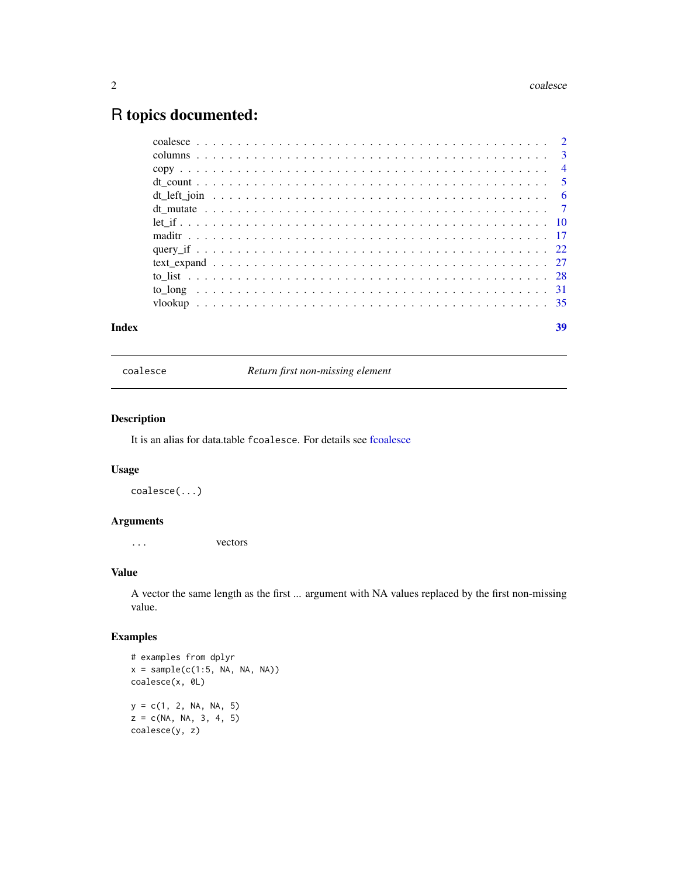# <span id="page-1-0"></span>R topics documented:

| Index | 39 |
|-------|----|
|       |    |
|       |    |
|       |    |
|       |    |
|       |    |
|       |    |
|       |    |
|       |    |
|       |    |
|       |    |
|       |    |
|       |    |
|       |    |

coalesce *Return first non-missing element*

# Description

It is an alias for data.table fcoalesce. For details see [fcoalesce](#page-0-0)

# Usage

coalesce(...)

# Arguments

... vectors

# Value

A vector the same length as the first ... argument with NA values replaced by the first non-missing value.

```
# examples from dplyr
x = sample(c(1:5, NA, NA, NA))coalesce(x, 0L)
y = c(1, 2, NA, NA, 5)z = c(NA, NA, 3, 4, 5)coalesce(y, z)
```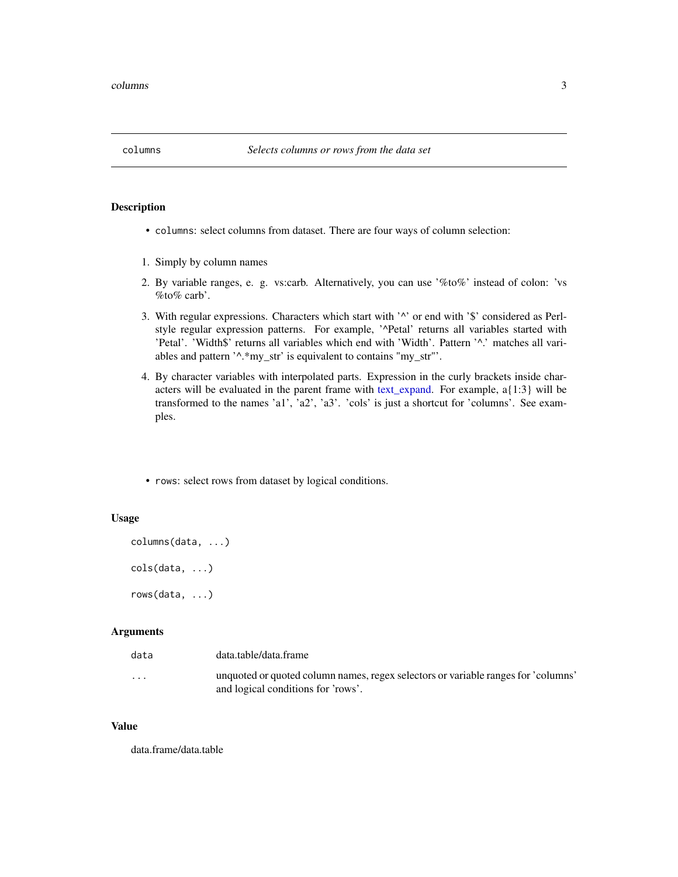<span id="page-2-0"></span>

# <span id="page-2-1"></span>Description

- columns: select columns from dataset. There are four ways of column selection:
- 1. Simply by column names
- 2. By variable ranges, e. g. vs:carb. Alternatively, you can use '%to%' instead of colon: 'vs  $\%$  to  $\%$  carb'.
- 3. With regular expressions. Characters which start with '^' or end with '\$' considered as Perlstyle regular expression patterns. For example, '^Petal' returns all variables started with 'Petal'. 'Width\$' returns all variables which end with 'Width'. Pattern '^.' matches all variables and pattern '^.\*my\_str' is equivalent to contains "my\_str"'.
- 4. By character variables with interpolated parts. Expression in the curly brackets inside characters will be evaluated in the parent frame with [text\\_expand.](#page-26-1) For example, a{1:3} will be transformed to the names 'a1', 'a2', 'a3'. 'cols' is just a shortcut for 'columns'. See examples.
- rows: select rows from dataset by logical conditions.

# Usage

```
columns(data, ...)
cols(data, ...)
rows(data, ...)
```
#### Arguments

| data                    | data.table/data.frame                                                                                                   |
|-------------------------|-------------------------------------------------------------------------------------------------------------------------|
| $\cdot$ $\cdot$ $\cdot$ | unquoted or quoted column names, regex selectors or variable ranges for 'columns'<br>and logical conditions for 'rows'. |

# Value

data.frame/data.table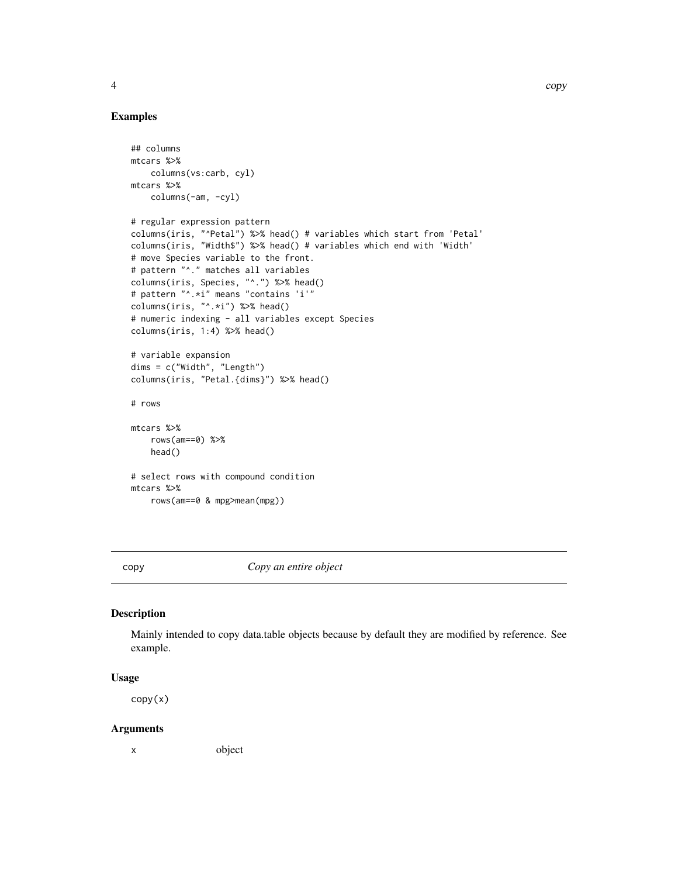# Examples

```
## columns
mtcars %>%
   columns(vs:carb, cyl)
mtcars %>%
   columns(-am, -cyl)
# regular expression pattern
columns(iris, "^Petal") %>% head() # variables which start from 'Petal'
columns(iris, "Width$") %>% head() # variables which end with 'Width'
# move Species variable to the front.
# pattern "^." matches all variables
columns(iris, Species, "^.") %>% head()
# pattern "^.*i" means "contains 'i'"
columns(iris, "^.*i") %>% head()
# numeric indexing - all variables except Species
columns(iris, 1:4) %>% head()
# variable expansion
dims = c("Width", "Length")
columns(iris, "Petal.{dims}") %>% head()
# rows
mtcars %>%
   rows(am==0) %>%
   head()
# select rows with compound condition
mtcars %>%
    rows(am==0 & mpg>mean(mpg))
```
copy *Copy an entire object*

#### Description

Mainly intended to copy data.table objects because by default they are modified by reference. See example.

#### Usage

copy(x)

#### Arguments

x object

4 copy

<span id="page-3-0"></span>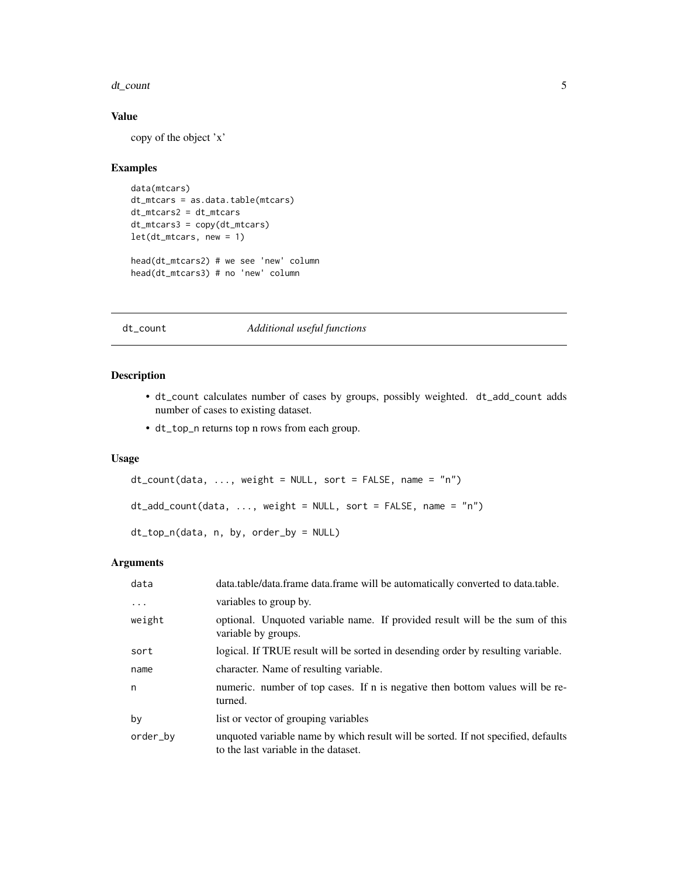#### <span id="page-4-0"></span>dt\_count 5

# Value

copy of the object 'x'

# Examples

```
data(mtcars)
dt_mtcars = as.data.table(mtcars)
dt_mtcars2 = dt_mtcars
dt_mtcars3 = copy(dt_mtcars)
let(dt_mtcars, new = 1)
head(dt_mtcars2) # we see 'new' column
head(dt_mtcars3) # no 'new' column
```
# dt\_count *Additional useful functions*

#### Description

- dt\_count calculates number of cases by groups, possibly weighted. dt\_add\_count adds number of cases to existing dataset.
- dt\_top\_n returns top n rows from each group.

#### Usage

```
dt_count(data, ..., weight = NULL, sort = FALSE, name = "n")
dt_add_count(data, ..., weight = NULL, sort = FALSE, name = "n")
dt_top_n(data, n, by, order_by = NULL)
```

| data     | data.table/data.frame data.frame will be automatically converted to data.table.                                           |
|----------|---------------------------------------------------------------------------------------------------------------------------|
| $\cdots$ | variables to group by.                                                                                                    |
| weight   | optional. Unquoted variable name. If provided result will be the sum of this<br>variable by groups.                       |
| sort     | logical. If TRUE result will be sorted in desending order by resulting variable.                                          |
| name     | character. Name of resulting variable.                                                                                    |
| n        | numeric. number of top cases. If n is negative then bottom values will be re-<br>turned.                                  |
| by       | list or vector of grouping variables                                                                                      |
| order_by | unquoted variable name by which result will be sorted. If not specified, defaults<br>to the last variable in the dataset. |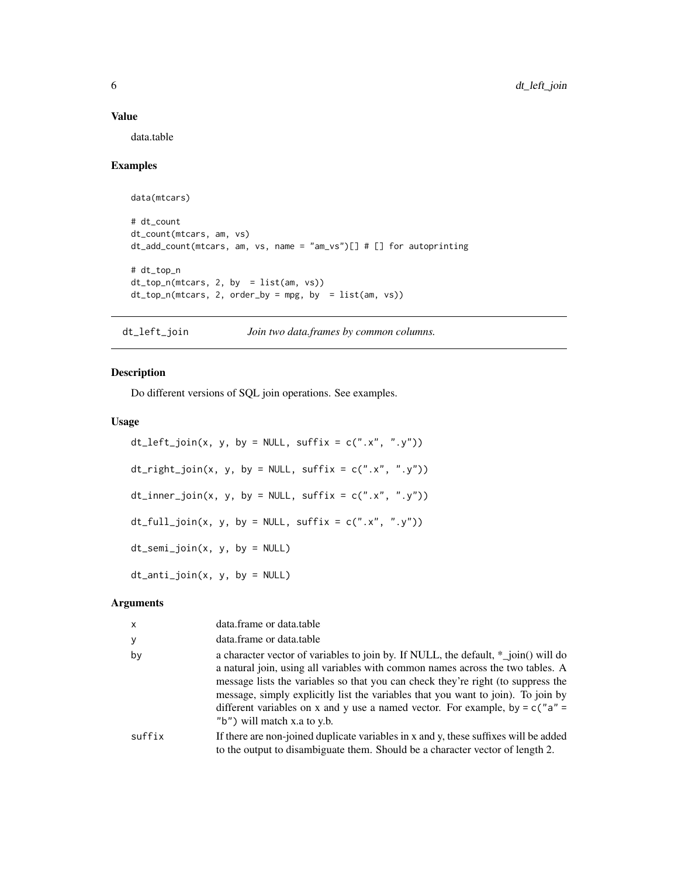#### Value

data.table

# Examples

```
data(mtcars)
# dt_count
dt_count(mtcars, am, vs)
dt_add_count(mtcars, am, vs, name = "am_vs")[] # [] for autoprinting
# dt_top_n
dt_top_n(mtcars, 2, by = list(am, vs))
dt_top_n(mtcars, 2, order_by = mpg, by = list(am, vs))
```
dt\_left\_join *Join two data.frames by common columns.*

# Description

Do different versions of SQL join operations. See examples.

# Usage

```
dt_left_join(x, y, by = NULL, suffix = c("x", "y"))
dt\_right\_join(x, y, by = NULL, suffix = c("x", "y"))dt_inner_join(x, y, by = NULL, suffix = c("x", "y"))
dt_full_join(x, y, by = NULL, suffix = c("x", "y"))
dt_semi_join(x, y, by = NULL)
dt_-anti_join(x, y, by = NULL)
```

| $\mathsf{x}$ | data.frame or data.table                                                                                                                                                                                                                                                                                                                                                                                                                                       |
|--------------|----------------------------------------------------------------------------------------------------------------------------------------------------------------------------------------------------------------------------------------------------------------------------------------------------------------------------------------------------------------------------------------------------------------------------------------------------------------|
| У            | data.frame or data.table                                                                                                                                                                                                                                                                                                                                                                                                                                       |
| by           | a character vector of variables to join by. If NULL, the default, *_join() will do<br>a natural join, using all variables with common names across the two tables. A<br>message lists the variables so that you can check they're right (to suppress the<br>message, simply explicitly list the variables that you want to join). To join by<br>different variables on x and y use a named vector. For example, by = $c$ ("a" =<br>"b") will match x.a to y.b. |
| suffix       | If there are non-joined duplicate variables in x and y, these suffixes will be added<br>to the output to disambiguate them. Should be a character vector of length 2.                                                                                                                                                                                                                                                                                          |

<span id="page-5-0"></span>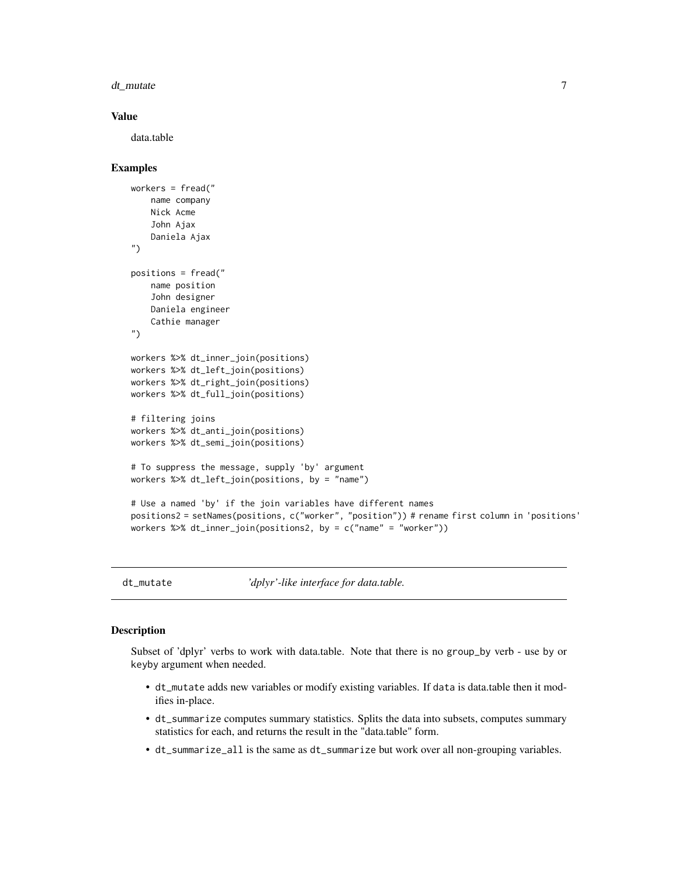#### <span id="page-6-0"></span>dt\_mutate 7

#### Value

data.table

#### Examples

```
workers = fread("
   name company
   Nick Acme
    John Ajax
    Daniela Ajax
")
positions = fread("
   name position
    John designer
   Daniela engineer
    Cathie manager
")
workers %>% dt_inner_join(positions)
workers %>% dt_left_join(positions)
workers %>% dt_right_join(positions)
workers %>% dt_full_join(positions)
# filtering joins
workers %>% dt_anti_join(positions)
workers %>% dt_semi_join(positions)
# To suppress the message, supply 'by' argument
workers %>% dt_left_join(positions, by = "name")
# Use a named 'by' if the join variables have different names
positions2 = setNames(positions, c("worker", "position")) # rename first column in 'positions'
workers %>% dt_inner_join(positions2, by = c("name" = "worker"))
```
dt\_mutate *'dplyr'-like interface for data.table.*

#### **Description**

Subset of 'dplyr' verbs to work with data.table. Note that there is no group\_by verb - use by or keyby argument when needed.

- dt\_mutate adds new variables or modify existing variables. If data is data.table then it modifies in-place.
- dt\_summarize computes summary statistics. Splits the data into subsets, computes summary statistics for each, and returns the result in the "data.table" form.
- dt\_summarize\_all is the same as dt\_summarize but work over all non-grouping variables.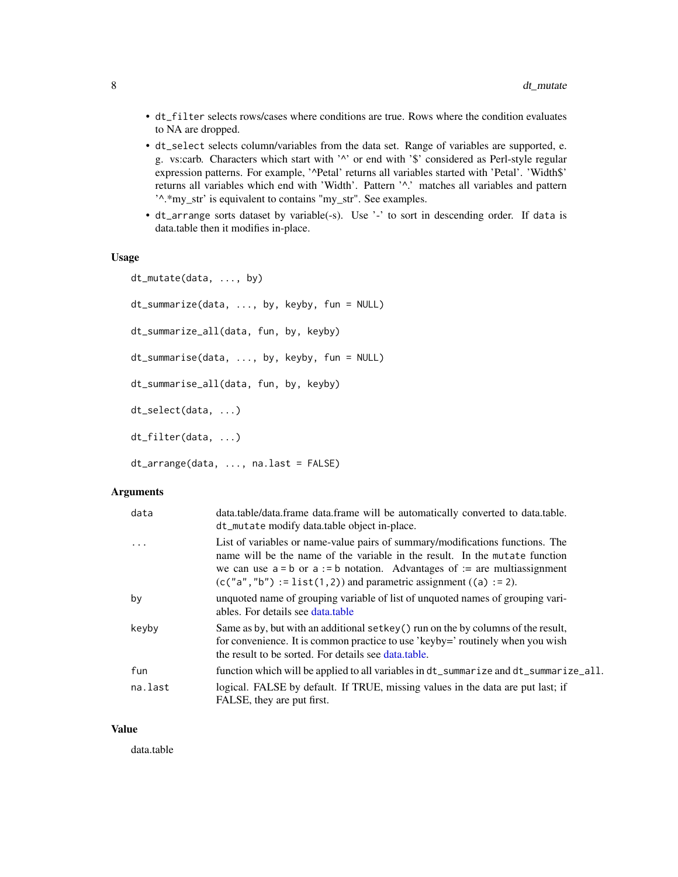- <span id="page-7-0"></span>• dt\_filter selects rows/cases where conditions are true. Rows where the condition evaluates to NA are dropped.
- dt\_select selects column/variables from the data set. Range of variables are supported, e. g. vs:carb. Characters which start with '^' or end with '\$' considered as Perl-style regular expression patterns. For example, '^Petal' returns all variables started with 'Petal'. 'Width\$' returns all variables which end with 'Width'. Pattern '^.' matches all variables and pattern '^.\*my\_str' is equivalent to contains "my\_str". See examples.
- dt\_arrange sorts dataset by variable(-s). Use '-' to sort in descending order. If data is data.table then it modifies in-place.

#### Usage

```
dt_mutate(data, ..., by)
dt_summarize(data, ..., by, keyby, fun = NULL)
dt_summarize_all(data, fun, by, keyby)
dt_summarise(data, ..., by, keyby, fun = NULL)
dt_summarise_all(data, fun, by, keyby)
dt_select(data, ...)
dt_filter(data, ...)
dt_arrange(data, ..., na.last = FALSE)
```
# Arguments

| data    | data.table/data.frame data.frame will be automatically converted to data.table.<br>dt_mutate modify data.table object in-place.                                                                                                                                                                                           |
|---------|---------------------------------------------------------------------------------------------------------------------------------------------------------------------------------------------------------------------------------------------------------------------------------------------------------------------------|
| .       | List of variables or name-value pairs of summary/modifications functions. The<br>name will be the name of the variable in the result. In the mutate function<br>we can use $a = b$ or $a := b$ notation. Advantages of $a := a$ multiassignment<br>$(c("a", "b") := list(1, 2))$ and parametric assignment $((a) := 2)$ . |
| by      | unquoted name of grouping variable of list of unquoted names of grouping vari-<br>ables. For details see data.table                                                                                                                                                                                                       |
| keyby   | Same as by, but with an additional setkey () run on the by columns of the result,<br>for convenience. It is common practice to use 'keyby=' routinely when you wish<br>the result to be sorted. For details see data, table.                                                                                              |
| fun     | function which will be applied to all variables in dt_summarize and dt_summarize_all.                                                                                                                                                                                                                                     |
| na.last | logical. FALSE by default. If TRUE, missing values in the data are put last; if<br>FALSE, they are put first.                                                                                                                                                                                                             |

#### Value

data.table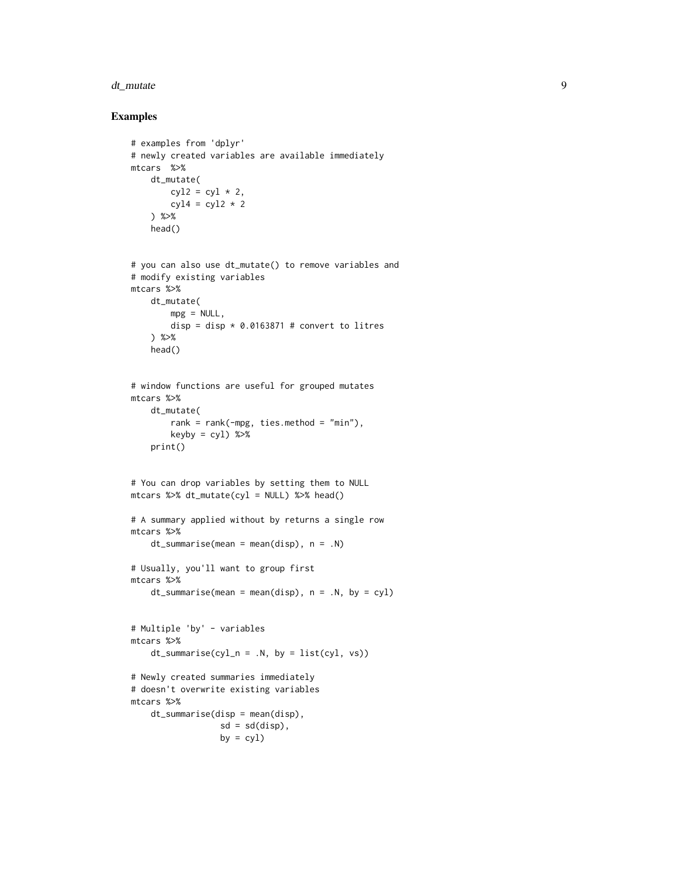#### dt\_mutate 9

```
# examples from 'dplyr'
# newly created variables are available immediately
mtcars %>%
   dt_mutate(
       cyl2 = cyl * 2,cyl4 = cyl2 * 2) %>%
    head()
# you can also use dt_mutate() to remove variables and
# modify existing variables
mtcars %>%
    dt_mutate(
       mpg = NULL,disp = disp * 0.0163871 # convert to litres
   ) %>%
   head()
# window functions are useful for grouped mutates
mtcars %>%
   dt_mutate(
        rank = rank(\text{-mpg}, \text{ties.method} = "min"),keyby = cy1) %>%
    print()
# You can drop variables by setting them to NULL
mtcars %>% dt_mutate(cyl = NULL) %>% head()
# A summary applied without by returns a single row
mtcars %>%
    dt_summarise(mean = mean(disp), n = .N)
# Usually, you'll want to group first
mtcars %>%
   dt_summarise(mean = mean(disp), n = .N, by = cyl)
# Multiple 'by' - variables
mtcars %>%
    dt\_summise(cyl_n = .N, by = list(cyl, vs))# Newly created summaries immediately
# doesn't overwrite existing variables
mtcars %>%
    dt_summarise(disp = mean(disp),
                  sd = sd(disp),by = cy1)
```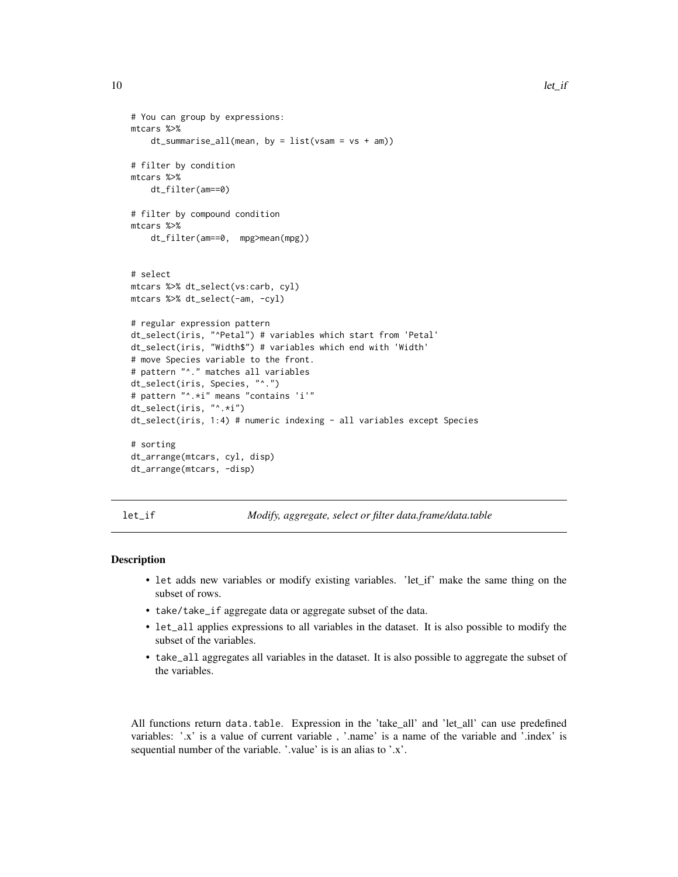```
# You can group by expressions:
mtcars %>%
    dt_summarise_all(mean, by = list(vsam = vs + am))
# filter by condition
mtcars %>%
   dt_filter(am==0)
# filter by compound condition
mtcars %>%
    dt_filter(am==0, mpg>mean(mpg))
# select
mtcars %>% dt_select(vs:carb, cyl)
mtcars %>% dt_select(-am, -cyl)
# regular expression pattern
dt_select(iris, "^Petal") # variables which start from 'Petal'
dt_select(iris, "Width$") # variables which end with 'Width'
# move Species variable to the front.
# pattern "^." matches all variables
dt_select(iris, Species, "^.")
# pattern "^.*i" means "contains 'i'"
dt_select(iris, "^.*i")
dt_select(iris, 1:4) # numeric indexing - all variables except Species
# sorting
dt_arrange(mtcars, cyl, disp)
dt_arrange(mtcars, -disp)
```
let\_if *Modify, aggregate, select or filter data.frame/data.table*

# **Description**

- let adds new variables or modify existing variables. 'let\_if' make the same thing on the subset of rows.
- take/take\_if aggregate data or aggregate subset of the data.
- let\_all applies expressions to all variables in the dataset. It is also possible to modify the subset of the variables.
- take\_all aggregates all variables in the dataset. It is also possible to aggregate the subset of the variables.

All functions return data.table. Expression in the 'take\_all' and 'let\_all' can use predefined variables: '.x' is a value of current variable , '.name' is a name of the variable and '.index' is sequential number of the variable. '.value' is is an alias to '.x'.

<span id="page-9-0"></span>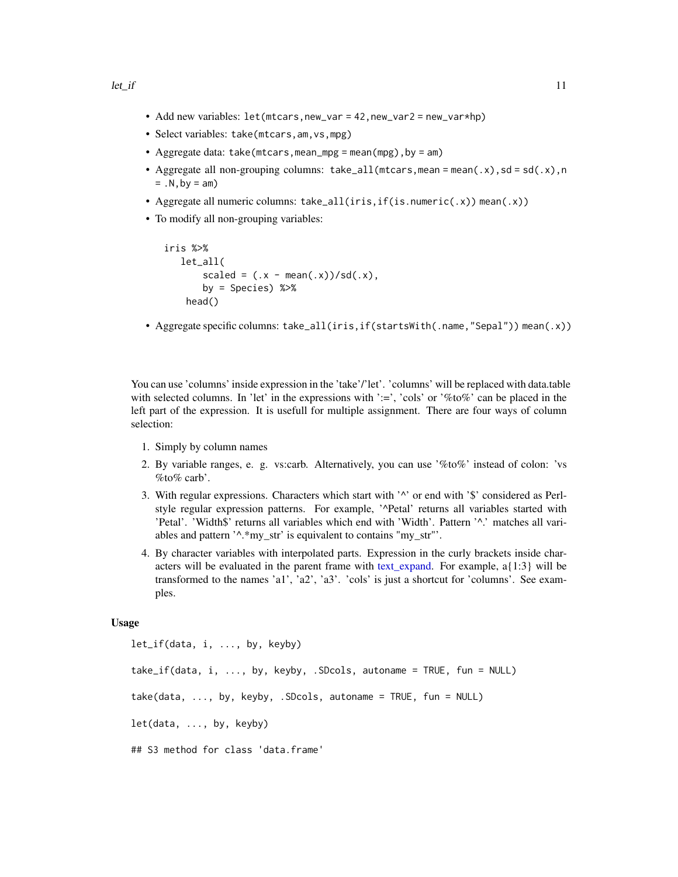- <span id="page-10-0"></span>• Add new variables:  $let(mtcars, new_var = 42, new_var2 = new_var * hp)$
- Select variables: take(mtcars,am,vs,mpg)
- Aggregate data: take(mtcars, mean\_mpg = mean(mpg), by = am)
- Aggregate all non-grouping columns:  $take\_all(mtcars,mean = mean(.x), sd = sd(.x),n$  $= .N$ , by  $= am$ )
- Aggregate all numeric columns: take\_all(iris,if(is.numeric(.x)) mean(.x))
- To modify all non-grouping variables:

```
iris %>%
   let_all(
        scaled = (x - \text{mean}(x))/\text{sd}(x),
        by = Species) %>%
    head()
```
• Aggregate specific columns: take\_all(iris,if(startsWith(.name,"Sepal")) mean(.x))

You can use 'columns' inside expression in the 'take'/'let'. 'columns' will be replaced with data.table with selected columns. In 'let' in the expressions with ':=', 'cols' or '%to%' can be placed in the left part of the expression. It is usefull for multiple assignment. There are four ways of column selection:

- 1. Simply by column names
- 2. By variable ranges, e. g. vs:carb. Alternatively, you can use '%to%' instead of colon: 'vs %to% carb'.
- 3. With regular expressions. Characters which start with '^' or end with '\$' considered as Perlstyle regular expression patterns. For example, '^Petal' returns all variables started with 'Petal'. 'Width\$' returns all variables which end with 'Width'. Pattern '^.' matches all variables and pattern '^.\*my\_str' is equivalent to contains "my\_str"'.
- 4. By character variables with interpolated parts. Expression in the curly brackets inside characters will be evaluated in the parent frame with [text\\_expand.](#page-26-1) For example, a{1:3} will be transformed to the names 'a1', 'a2', 'a3'. 'cols' is just a shortcut for 'columns'. See examples.

#### Usage

let\_if(data, i, ..., by, keyby) take\_if(data, i, ..., by, keyby, .SDcols, autoname = TRUE, fun = NULL)  $take(data, ..., by, keyby, .SDCols, automame = TRUE, fun = NULL)$ let(data, ..., by, keyby) ## S3 method for class 'data.frame'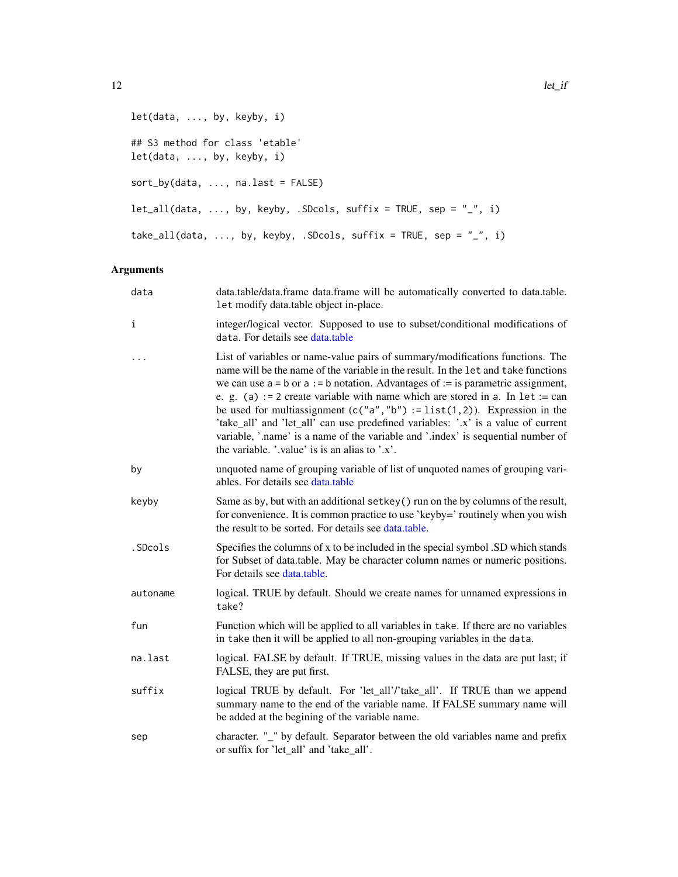```
let(data, ..., by, keyby, i)
## S3 method for class 'etable'
let(data, ..., by, keyby, i)
sort_by(data, ..., na.last = FALSE)
let\_all(data, ..., by, keyby, .SDCols, suffix = TRUE, sep = "__", i)take_all(data, ..., by, keyby, .SDcols, suffix = TRUE, sep = "_", i)
```

| data     | data.table/data.frame data.frame will be automatically converted to data.table.<br>let modify data.table object in-place.                                                                                                                                                                                                                                                                                                                                                                                                                                                                                                                                  |
|----------|------------------------------------------------------------------------------------------------------------------------------------------------------------------------------------------------------------------------------------------------------------------------------------------------------------------------------------------------------------------------------------------------------------------------------------------------------------------------------------------------------------------------------------------------------------------------------------------------------------------------------------------------------------|
| i        | integer/logical vector. Supposed to use to subset/conditional modifications of<br>data. For details see data.table                                                                                                                                                                                                                                                                                                                                                                                                                                                                                                                                         |
| $\ddots$ | List of variables or name-value pairs of summary/modifications functions. The<br>name will be the name of the variable in the result. In the let and take functions<br>we can use $a = b$ or $a := b$ notation. Advantages of $:=$ is parametric assignment,<br>e. g. (a) := 2 create variable with name which are stored in a. In $let := can$<br>be used for multiassignment $(c("a", "b") := list(1,2))$ . Expression in the<br>'take_all' and 'let_all' can use predefined variables: '.x' is a value of current<br>variable, '.name' is a name of the variable and '.index' is sequential number of<br>the variable. '.value' is is an alias to '.x'. |
| by       | unquoted name of grouping variable of list of unquoted names of grouping vari-<br>ables. For details see data.table                                                                                                                                                                                                                                                                                                                                                                                                                                                                                                                                        |
| keyby    | Same as by, but with an additional setkey () run on the by columns of the result,<br>for convenience. It is common practice to use 'keyby=' routinely when you wish<br>the result to be sorted. For details see data.table.                                                                                                                                                                                                                                                                                                                                                                                                                                |
| .SDcols  | Specifies the columns of x to be included in the special symbol .SD which stands<br>for Subset of data.table. May be character column names or numeric positions.<br>For details see data.table.                                                                                                                                                                                                                                                                                                                                                                                                                                                           |
| autoname | logical. TRUE by default. Should we create names for unnamed expressions in<br>take?                                                                                                                                                                                                                                                                                                                                                                                                                                                                                                                                                                       |
| fun      | Function which will be applied to all variables in take. If there are no variables<br>in take then it will be applied to all non-grouping variables in the data.                                                                                                                                                                                                                                                                                                                                                                                                                                                                                           |
| na.last  | logical. FALSE by default. If TRUE, missing values in the data are put last; if<br>FALSE, they are put first.                                                                                                                                                                                                                                                                                                                                                                                                                                                                                                                                              |
| suffix   | logical TRUE by default. For 'let_all'/'take_all'. If TRUE than we append<br>summary name to the end of the variable name. If FALSE summary name will<br>be added at the begining of the variable name.                                                                                                                                                                                                                                                                                                                                                                                                                                                    |
| sep      | character. "_" by default. Separator between the old variables name and prefix<br>or suffix for 'let_all' and 'take_all'.                                                                                                                                                                                                                                                                                                                                                                                                                                                                                                                                  |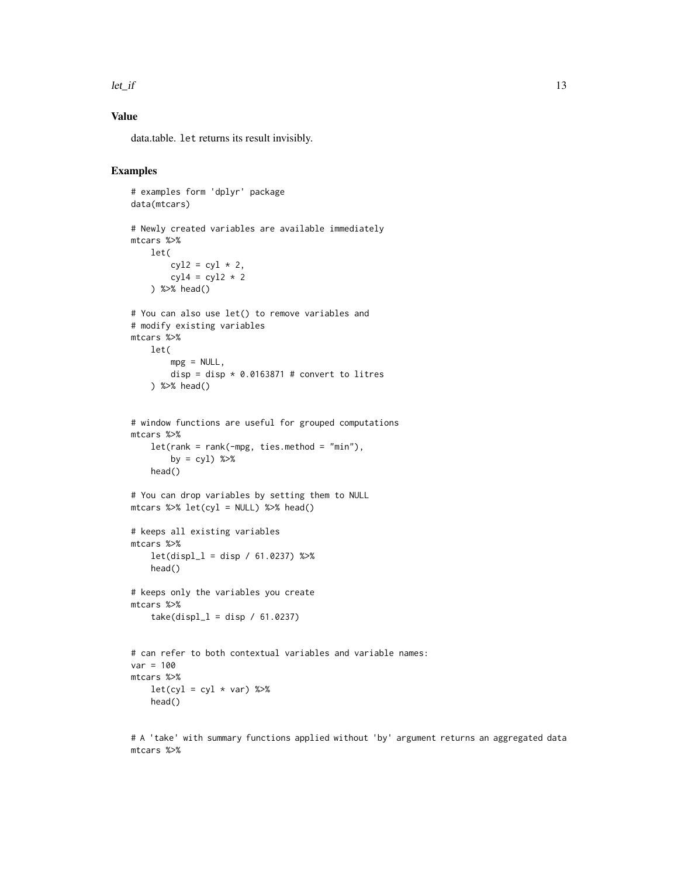#### $let\_if$  13

# Value

data.table. let returns its result invisibly.

# Examples

```
# examples form 'dplyr' package
data(mtcars)
# Newly created variables are available immediately
mtcars %>%
   let(
        cyl2 = cyl * 2,cyl4 = cyl2 * 2) %>% head()
# You can also use let() to remove variables and
# modify existing variables
mtcars %>%
   let(
       mpg = NULL,disp = disp * 0.0163871 # convert to litres
    ) %>% head()
# window functions are useful for grouped computations
mtcars %>%
    let(rank = rank(-mpg, ties.method = "min"),by = cyl) %>%
   head()
# You can drop variables by setting them to NULL
mtcars %>% let(cyl = NULL) %>% head()
# keeps all existing variables
mtcars %>%
    let(displ_1 = disp / 61.0237) %head()
# keeps only the variables you create
mtcars %>%
    take(displ_1 = disp / 61.0237)# can refer to both contextual variables and variable names:
var = 100mtcars %>%
   let(cyl = cyl * var) %>%
   head()
```
# A 'take' with summary functions applied without 'by' argument returns an aggregated data mtcars %>%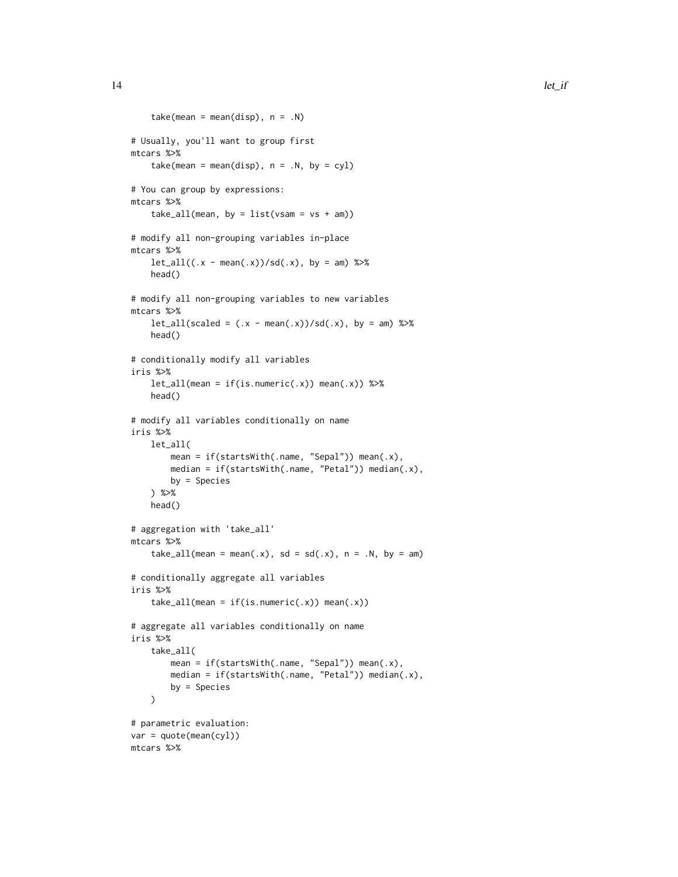```
take(mean = mean(disp), n = .N)
# Usually, you'll want to group first
mtcars %>%
    take(mean = mean(disp), n = .N, by = cyl)
# You can group by expressions:
mtcars %>%
    take\_all(mean, by = list(vsam = vs + am))# modify all non-grouping variables in-place
mtcars %>%
    let\_all((.x - mean(.x))/sd(.x), by = am) %head()
# modify all non-grouping variables to new variables
mtcars %>%
    let\_all(scaled = (.x - mean(.x))/sd(.x), by = am) %head()
# conditionally modify all variables
iris %>%
    let\_all(mean = if(is.numeric(.x)) mean(.x)) %head()
# modify all variables conditionally on name
iris %>%
    let_all(
       mean = if(startsWith(.name, "Sepal")) mean(.x),
       median = if(startsWith(.name, "Petal")) median(.x),
       by = Species
    ) %>%
   head()
# aggregation with 'take_all'
mtcars %>%
    take_all(mean = mean(.x), sd = sd(.x), n = .N, by = am)
# conditionally aggregate all variables
iris %>%
    take\_all(mean = if(is.numeric(.x)) mean(.x))# aggregate all variables conditionally on name
iris %>%
    take_all(
       mean = if(startsWith(.name, "Sepal")) mean(.x),
       median = if(startsWith(.name, "Petal")) median(.x),
       by = Species
   )
# parametric evaluation:
var = quote(mean(cyl))
mtcars %>%
```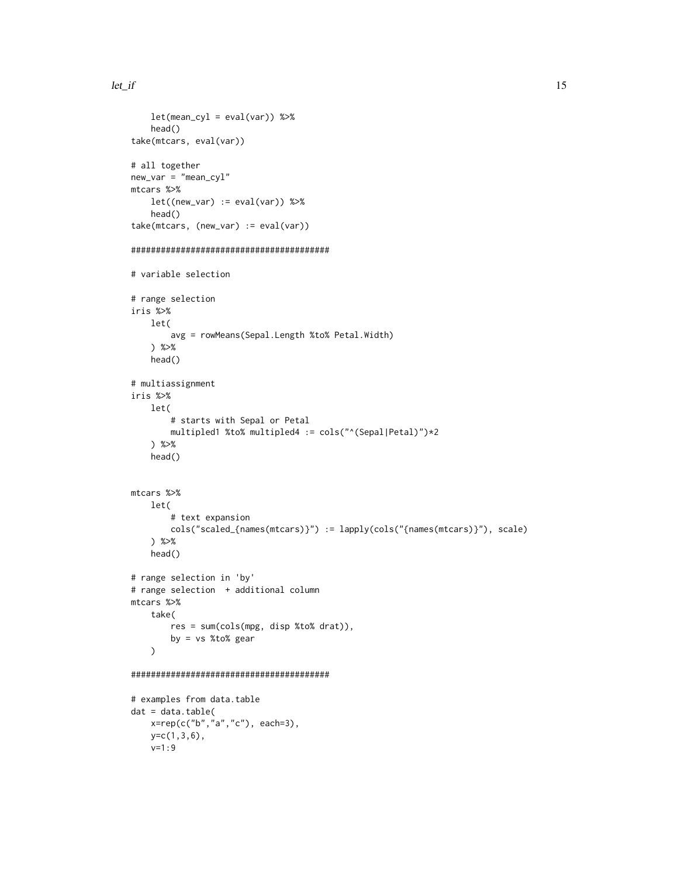```
let(mean_cyl = eval(var)) %>%
    head()
take(mtcars, eval(var))
# all together
new_var = "mean_cyl"
mtcars %>%
    let((new\_var) := eval(var)) %>%
    head()
take(mtcars, (new_var) := eval(var))
########################################
# variable selection
# range selection
iris %>%
    let(
        avg = rowMeans(Sepal.Length %to% Petal.Width)
    ) %>%
    head()
# multiassignment
iris %>%
   let(
        # starts with Sepal or Petal
        multipled1 %to% multipled4 := cols("^(Sepal|Petal)")*2
    ) %>%
    head()
mtcars %>%
    let(
        # text expansion
        cols("scaled_{names(mtcars)}") := lapply(cols("{names(mtcars)}"), scale)
    ) %>%
    head()
# range selection in 'by'
# range selection + additional column
mtcars %>%
    take(
        res = sum(cols(mpg, disp %to% drat)),
       by = vs %to% gear
    \lambda########################################
# examples from data.table
dat = data.title(x=rep(c("b","a","c"), each=3),
    y=c(1,3,6),
    v=1:9
```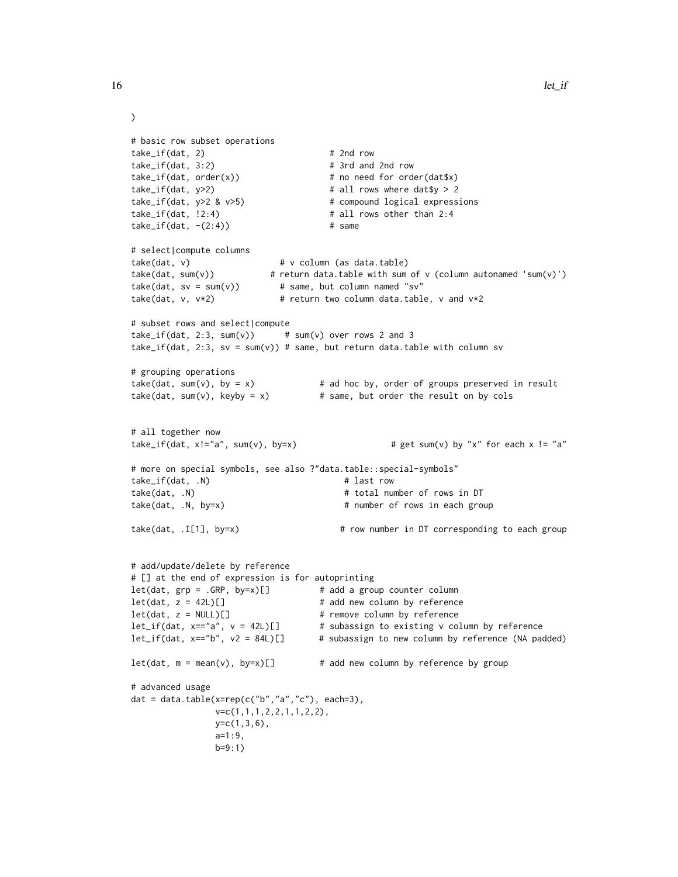```
# basic row subset operations
take_if(data, 2) # 2nd rowtake_if(dat, 3:2) # 3rd and 2nd row
take_if(data, order(x)) # no need for order(dat$x)
take\_if(data, y>2) # all rows where data $y > 2take_if(dat, y>2 & v>5) # compound logical expressions
take_i f(data, 12:4) # all rows other than 2:4take_if(data, -(2:4)) # same
# select|compute columns
take(dat, v) # v column (as data.table)
                       # return data.table with sum of v (column autonamed 'sum(v)')
take(data, sv = sum(v)) # same, but column named "sv"
take(dat, v, v*2) # return two column data.table, v and v*2# subset rows and select|compute
take\_if(data, 2:3, sum(v)) # sum(v) over rows 2 and 3
take_if(dat, 2:3, sv = sum(v)) # same, but return data.table with column sv
# grouping operations
take(dat, sum(v), by = x) # ad hoc by, order of groups preserved in result
take(dat, sum(v), keyby = x) # same, but order the result on by cols
# all together now
take_if(dat, x!="a", sum(v), by=x) \qquad # get sum(v) by "x" for each x != "a"
# more on special symbols, see also ?"data.table::special-symbols"
take_if(dat, .N) # last row
take(dat, .N) \qquad # total number of rows in DT
take(dat, .N, by=x) \qquad # number of rows in each group
take(dat, .I[1], by=x) # row number in DT corresponding to each group
# add/update/delete by reference
# [] at the end of expression is for autoprinting
let(dat, grp = .GRP, by=x)[] # add a group counter column
let(dat, z = 42L)[] \qquad \qquad \qquad # add new column by reference
let(dat, z = NULL)[] # remove column by reference
let_if(dat, x=="a", v = 42L)[] # subassign to existing v column by reference
let_if(dat, x=="b", v2 = 84L)[] # subassign to new column by reference (NA padded)
let(data, m = mean(v), by=x)[] # add new column by reference by group
# advanced usage
dat = data.table(x = rep(c("b", "a", "c"), each=3),v=c(1,1,1,2,2,1,1,2,2),
              y=c(1,3,6),
              a=1:9,
              b=9:1)
```
 $\mathcal{L}$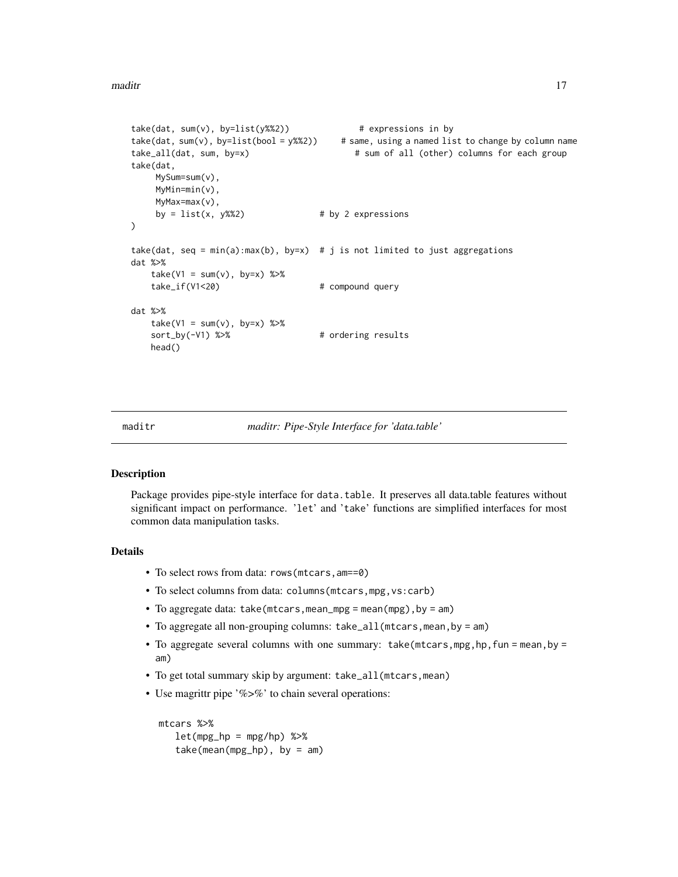```
take(data, sum(v), by=list(y%2)) # expressions in by
take(dat, sum(v), by=list(bool = y%%2)) # same, using a named list to change by column name
take_all(dat, sum, by=x) \qquad # sum of all (other) columns for each group
take(dat,
    MySum=sum(v),
    MyMin=min(v),
    MyMax=max(v),
    by = list(x, y\%) # by 2 expressions
\mathcal{L}take(dat, seq = min(a):max(b), by=x) # j is not limited to just aggregations
dat %>%
   take(V1 = sum(v), by=x) %take_if(V1<20) # compound query
dat %>%
   take(V1 = sum(v), by=x) %sort_by(-V1) %>% # ordering results
   head()
```
maditr *maditr: Pipe-Style Interface for 'data.table'*

### **Description**

Package provides pipe-style interface for data.table. It preserves all data.table features without significant impact on performance. 'let' and 'take' functions are simplified interfaces for most common data manipulation tasks.

#### Details

- To select rows from data: rows(mtcars,am==0)
- To select columns from data: columns(mtcars,mpg,vs:carb)
- To aggregate data: take(mtcars,mean\_mpg = mean(mpg),by = am)
- To aggregate all non-grouping columns: take\_all(mtcars,mean,by = am)
- To aggregate several columns with one summary:  $take(mtcars,mpg,hp,fun = mean,by =$ am)
- To get total summary skip by argument: take\_all(mtcars,mean)
- Use magrittr pipe '%>%' to chain several operations:

```
mtcars %>%
  let(mpg_hp = mpg/hp) %>%
  take(mean(mpg_hp), by = am)
```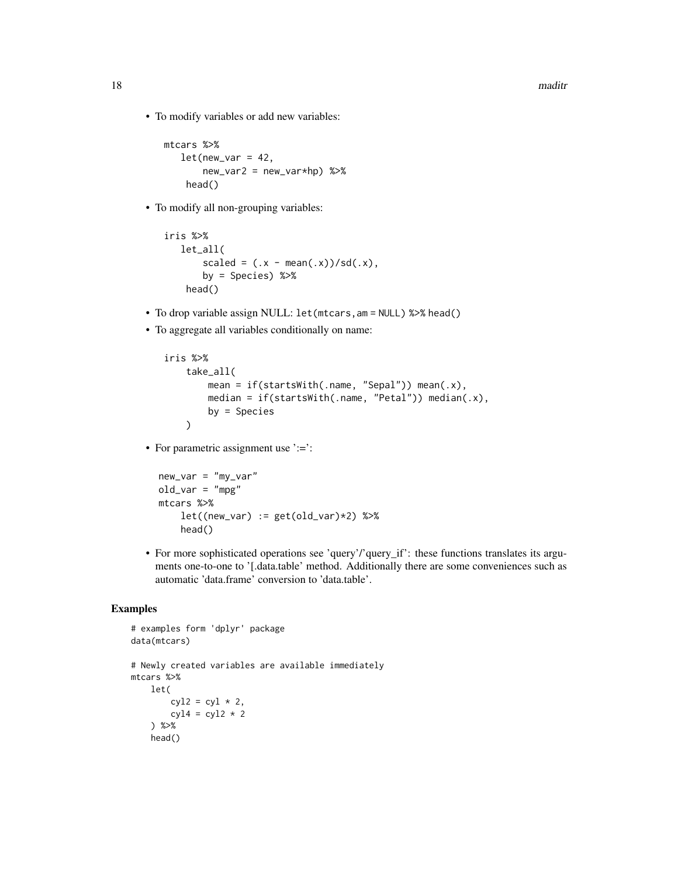• To modify variables or add new variables:

```
mtcars %>%
   let(new_var = 42,new_var2 = new_var*hp) %>%
   head()
```
• To modify all non-grouping variables:

```
iris %>%
   let_all(
       scaled = (.x - mean(.x))/sd(.x),
       by = Species) %>%
    head()
```
- To drop variable assign NULL: let(mtcars,am = NULL) %>% head()
- To aggregate all variables conditionally on name:

```
iris %>%
    take_all(
        mean = if(startsWith(.name, "Sepal")) mean(.x),
        median = if(startsWith(.name, "Petal")) median(.x),
        by = Species
   )
```
• For parametric assignment use ':=':

```
new\_var = "my\_var"old_var = "mpg"
mtcars %>%
    let((new\_var) := get(old\_var)*2) %>%
    head()
```
• For more sophisticated operations see 'query'/'query\_if': these functions translates its arguments one-to-one to '[.data.table' method. Additionally there are some conveniences such as automatic 'data.frame' conversion to 'data.table'.

```
# examples form 'dplyr' package
data(mtcars)
# Newly created variables are available immediately
mtcars %>%
   let(
       cyl2 = cyl * 2,cyl4 = cyl2 * 2) %>%
    head()
```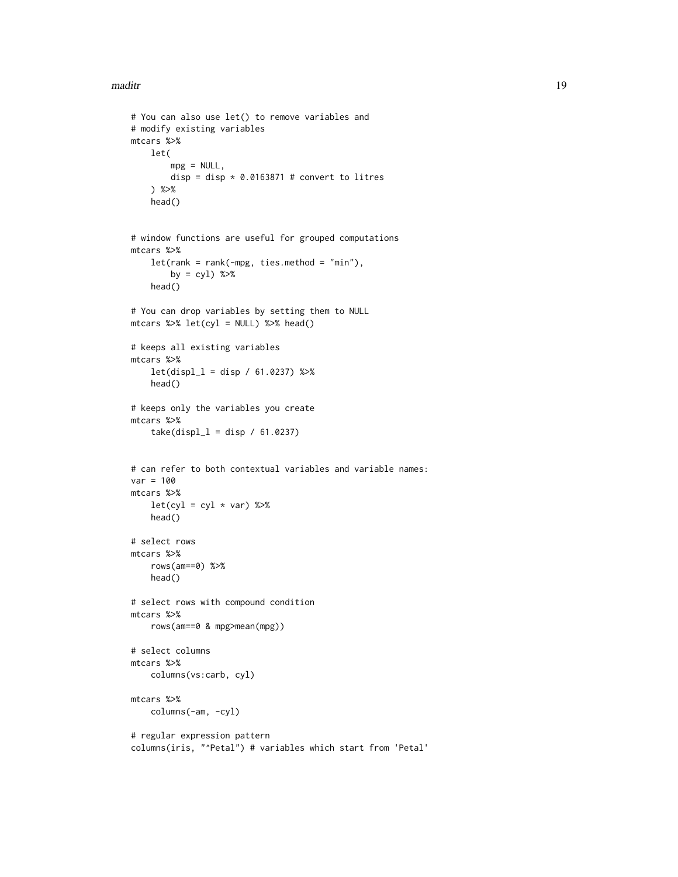#### maditr and the contract of the contract of the contract of the contract of the contract of the contract of the contract of the contract of the contract of the contract of the contract of the contract of the contract of the

```
# You can also use let() to remove variables and
# modify existing variables
mtcars %>%
   let(
       mpg = NULL,disp = disp * 0.0163871 # convert to litres
    ) %>%
   head()
# window functions are useful for grouped computations
mtcars %>%
    let(rank = rank(-mpg, ties.method = "min"),by = cy1) %>%
   head()
# You can drop variables by setting them to NULL
mtcars %>% let(cyl = NULL) %>% head()
# keeps all existing variables
mtcars %>%
    let(displ_1 = disp / 61.0237) %head()
# keeps only the variables you create
mtcars %>%
    take(displ_1 = disp / 61.0237)# can refer to both contextual variables and variable names:
var = 100mtcars %>%
   let(cyl = cyl * var) %>%
   head()
# select rows
mtcars %>%
    rows(am==0) %>%
   head()
# select rows with compound condition
mtcars %>%
    rows(am==0 & mpg>mean(mpg))
# select columns
mtcars %>%
    columns(vs:carb, cyl)
mtcars %>%
   columns(-am, -cyl)
# regular expression pattern
columns(iris, "^Petal") # variables which start from 'Petal'
```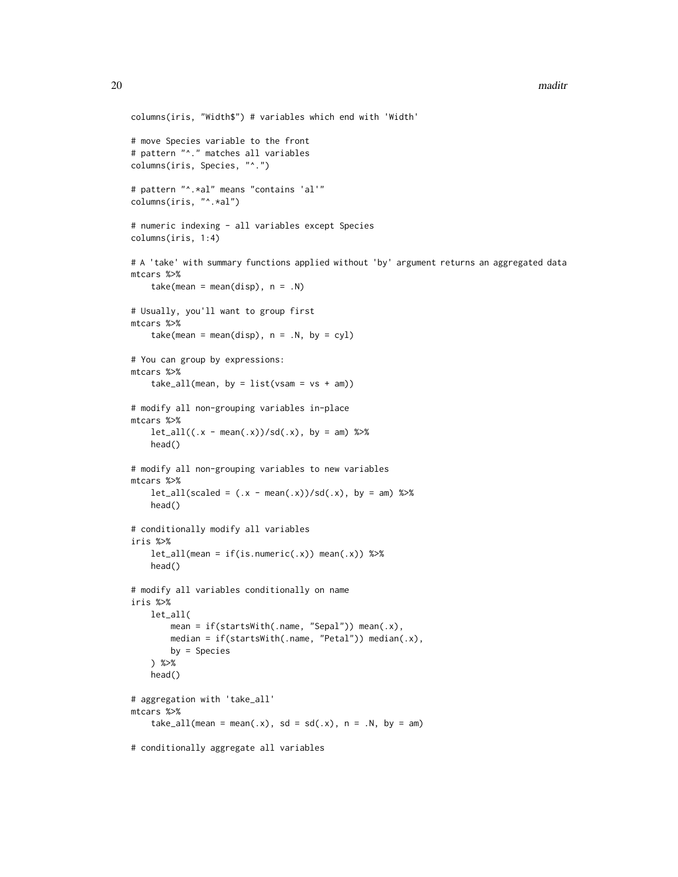```
columns(iris, "Width$") # variables which end with 'Width'
# move Species variable to the front
# pattern "^." matches all variables
columns(iris, Species, "^.")
# pattern "^.*al" means "contains 'al'"
columns(iris, "^.*al")
# numeric indexing - all variables except Species
columns(iris, 1:4)
# A 'take' with summary functions applied without 'by' argument returns an aggregated data
mtcars %>%
    take(mean = mean(disp), n = .N)# Usually, you'll want to group first
mtcars %>%
    take(mean = mean(disp), n = .N, by = cyl)
# You can group by expressions:
mtcars %>%
    take\_all(mean, by = list(vsam = vs + am))# modify all non-grouping variables in-place
mtcars %>%
    let\_all((.x - mean(.x))/sd(.x), by = am) %head()
# modify all non-grouping variables to new variables
mtcars %>%
   let\_all(scaled = (.x - mean(.x))/sd(.x), by = am) %head()
# conditionally modify all variables
iris %>%
    let\_all(mean = if(is.numeric(.x)) mean(.x)) %>%
   head()
# modify all variables conditionally on name
iris %>%
    let_all(
       mean = if(startsWith(.name, "Sepal")) mean(.x),
       median = if(startsWith(.name, "Petal")) median(.x),
       by = Species
    ) %>%
    head()
# aggregation with 'take_all'
mtcars %>%
    take_all(mean = mean(.x), sd = sd(.x), n = .N, by = am)
# conditionally aggregate all variables
```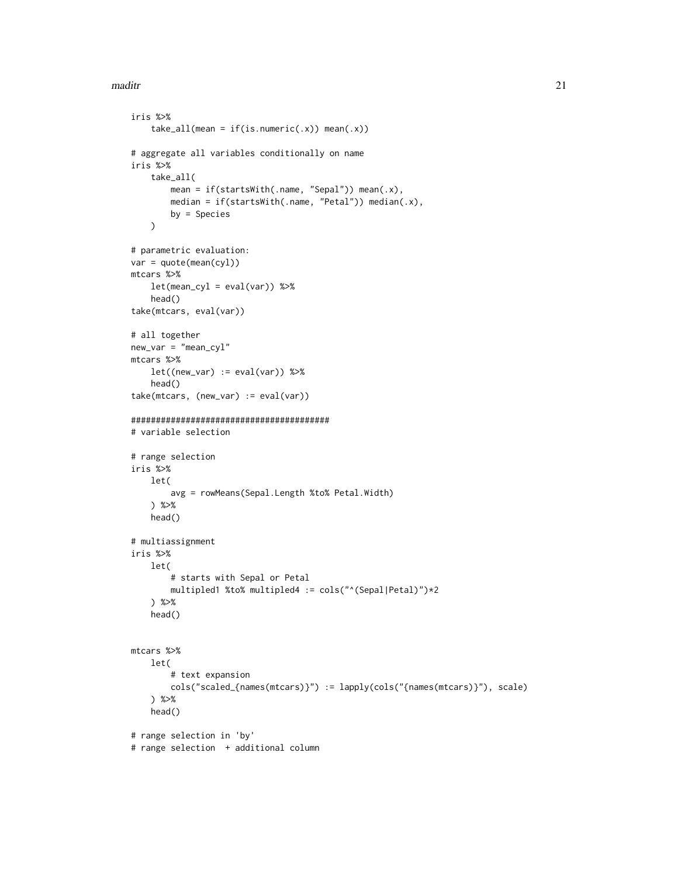```
maditr 21
```

```
iris %>%
    take\_all(mean = if(is.numeric(.x)) mean(.x))# aggregate all variables conditionally on name
iris %>%
   take_all(
        mean = if(startsWith(.name, "Sepal")) mean(.x),
        median = if(startsWith(.name, "Petal")) median(.x),
        by = Species
   \lambda# parametric evaluation:
var = quote(mean(cyl))
mtcars %>%
    let(mean_cyl = eval(var)) %>%
    head()
take(mtcars, eval(var))
# all together
new_var = "mean_cyl"
mtcars %>%
   let((new\_var) := eval(var)) %>%
   head()
take(mtcars, (new_var) := eval(var))
########################################
# variable selection
# range selection
iris %>%
   let(
        avg = rowMeans(Sepal.Length %to% Petal.Width)
    ) %>%
   head()
# multiassignment
iris %>%
   let(
        # starts with Sepal or Petal
        multipled1 %to% multipled4 := cols("^(Sepal|Petal)")*2
    ) %>%
    head()
mtcars %>%
   let(
        # text expansion
        cols("scaled_{names(mtcars)}") := lapply(cols("{names(mtcars)}"), scale)
    ) %>%
    head()
# range selection in 'by'
# range selection + additional column
```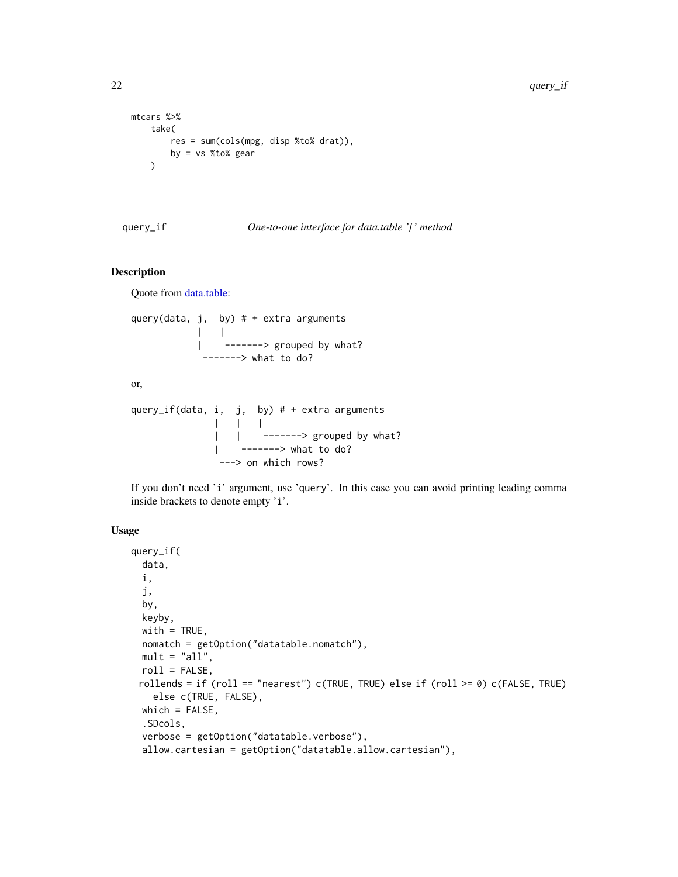```
mtcars %>%
   take(
       res = sum(cols(mpg, disp %to% drat)),
       by = vs %to% gear
   )
```
#### query\_if *One-to-one interface for data.table '[' method*

#### Description

Quote from [data.table:](#page-0-0)

```
query(data, j, by) # + extra arguments
          | |
          | -------> grouped by what?
           -------> what to do?
or,
query_if(data, i, j, by) # + extra arguments
            | | |
             | | -------> grouped by what?
             | -------> what to do?
              ---> on which rows?
```
If you don't need 'i' argument, use 'query'. In this case you can avoid printing leading comma inside brackets to denote empty 'i'.

# Usage

```
query_if(
 data,
  i,
  j,
 by,
 keyby,
 with = TRUE,
 nomatch = getOption("datatable.nomatch"),
 mult = "all",roll = FALSE,rollends = if (roll == "nearest") c(TRUE, TRUE) else if (roll >= 0) c(FALSE, TRUE)
    else c(TRUE, FALSE),
 which = FALSE,.SDcols,
  verbose = getOption("datatable.verbose"),
  allow.cartesian = getOption("datatable.allow.cartesian"),
```
<span id="page-21-0"></span>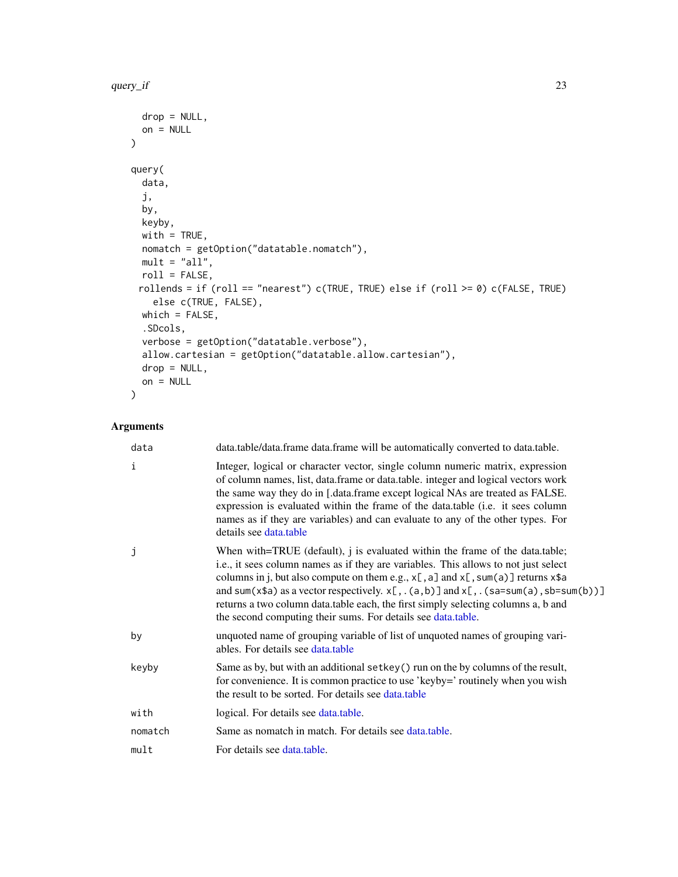```
drop = NULL,on = NULL
)
query(
 data,
 j,
 by,
 keyby,
 with = TRUE,
 nomatch = getOption("datatable.nomatch"),
 mult = "all",roll = FALSE,rollends = if (roll == "nearest") c(TRUE, TRUE) else if (roll >= 0) c(FALSE, TRUE)
   else c(TRUE, FALSE),
 which = FALSE,.SDcols,
 verbose = getOption("datatable.verbose"),
 allow.cartesian = getOption("datatable.allow.cartesian"),
 drop = NULL,
 on = NULL
)
```

| data    | data.table/data.frame data.frame will be automatically converted to data.table.                                                                                                                                                                                                                                                                                                                                                                                                                                       |
|---------|-----------------------------------------------------------------------------------------------------------------------------------------------------------------------------------------------------------------------------------------------------------------------------------------------------------------------------------------------------------------------------------------------------------------------------------------------------------------------------------------------------------------------|
| i       | Integer, logical or character vector, single column numeric matrix, expression<br>of column names, list, data.frame or data.table. integer and logical vectors work<br>the same way they do in [.data.frame except logical NAs are treated as FALSE.<br>expression is evaluated within the frame of the data.table (i.e. it sees column<br>names as if they are variables) and can evaluate to any of the other types. For<br>details see data.table                                                                  |
| j       | When with=TRUE (default), j is evaluated within the frame of the data.table;<br>i.e., it sees column names as if they are variables. This allows to not just select<br>columns in j, but also compute on them e.g., $x$ [, a] and $x$ [, sum(a)] returns $x$ \$a<br>and sum(x\$a) as a vector respectively. $x$ [, . (a,b)] and $x$ [, . (sa=sum(a), sb=sum(b))]<br>returns a two column data.table each, the first simply selecting columns a, b and<br>the second computing their sums. For details see data.table. |
| by      | unquoted name of grouping variable of list of unquoted names of grouping vari-<br>ables. For details see data.table                                                                                                                                                                                                                                                                                                                                                                                                   |
| keyby   | Same as by, but with an additional setkey () run on the by columns of the result,<br>for convenience. It is common practice to use 'keyby=' routinely when you wish<br>the result to be sorted. For details see data.table                                                                                                                                                                                                                                                                                            |
| with    | logical. For details see data.table.                                                                                                                                                                                                                                                                                                                                                                                                                                                                                  |
| nomatch | Same as nomatch in match. For details see data.table.                                                                                                                                                                                                                                                                                                                                                                                                                                                                 |
| mult    | For details see data.table.                                                                                                                                                                                                                                                                                                                                                                                                                                                                                           |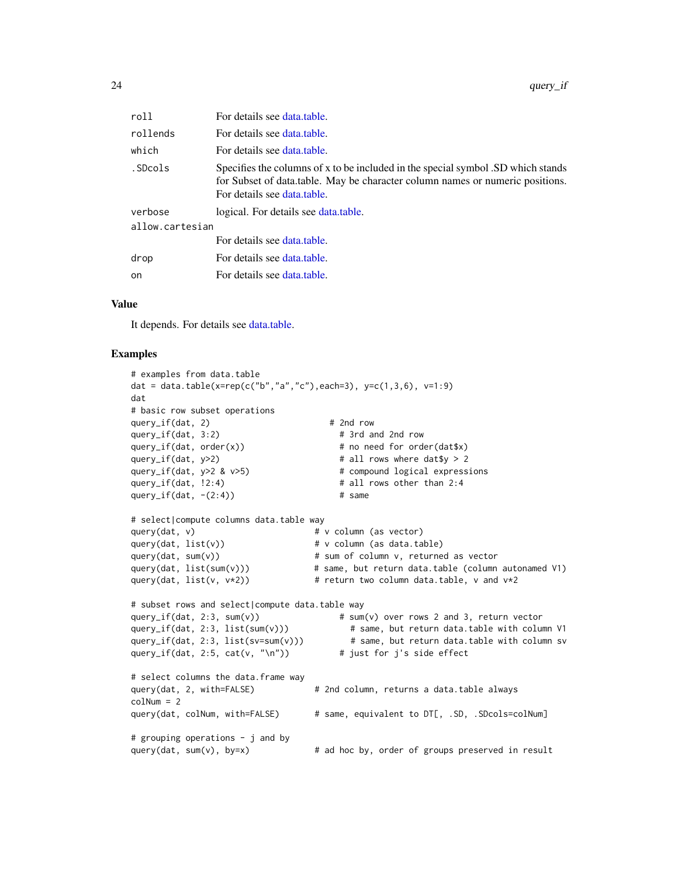<span id="page-23-0"></span>

| roll            | For details see data.table.                                                                                                                                                                      |  |
|-----------------|--------------------------------------------------------------------------------------------------------------------------------------------------------------------------------------------------|--|
| rollends        | For details see data table.                                                                                                                                                                      |  |
| which           | For details see data table.                                                                                                                                                                      |  |
| .SDcols         | Specifies the columns of x to be included in the special symbol .SD which stands<br>for Subset of data.table. May be character column names or numeric positions.<br>For details see data table. |  |
| verbose         | logical. For details see data.table.                                                                                                                                                             |  |
| allow.cartesian |                                                                                                                                                                                                  |  |
|                 | For details see data table.                                                                                                                                                                      |  |
| drop            | For details see data.table.                                                                                                                                                                      |  |
| <sub>on</sub>   | For details see data.table.                                                                                                                                                                      |  |

#### Value

It depends. For details see [data.table.](#page-0-0)

```
# examples from data.table
dat = data.table(x=rep(c("b","a","c"),each=3), y=c(1,3,6), v=1:9)
dat
# basic row subset operations
query_i f(data, 2) # 2nd row
query_if(dat, 3:2) # 3rd and 2nd row
query_if(dat, order(x)) \qquad \qquad \qquad # \text{ no need for order}(data x)query_if(dat, y>2) \qquad \qquad # all rows where dat$y > 2
query_if(dat, y>2 & v>5) # compound logical expressions
query_if(dat, !2:4) \qquad \qquad \qquad \qquad # all rows other than 2:4
query_if(dat, -(2:4)) # same
# select|compute columns data.table way
query(dat, v) \qquad # v column (as vector)
query(dat, list(v)) \qquad \qquad # \vee column (as data.table)
query(dat, sum(v)) \qquad \qquad \qquad \qquad # sum of column v, returned as vector
query(dat, list(sum(v))) \qquad # same, but return data.table (column autonamed V1)
query(dat, list(v, v*2) + return two column data.table, v and v*2# subset rows and select|compute data.table way
query_if(dat, 2:3, sum(v)) \qquad \qquad # sum(v) over rows 2 and 3, return vector
query_if(dat, 2:3, list(sum(v))) # same, but return data.table with column V1
query_if(dat, 2:3, list(sv=sum(v))) # same, but return data.table with column sv<br>query_if(dat, 2:5, cat(v, "\n")) # just for j's side effect
query_if(dat, 2:5, cat(v, "\n"))
# select columns the data.frame way
query(dat, 2, with=FALSE) # 2nd column, returns a data.table always
colNum = 2
query(dat, colNum, with=FALSE) # same, equivalent to DT[, .SD, .SDcols=colNum]
# grouping operations - j and by
query(dat, sum(v), by=x) # ad hoc by, order of groups preserved in result
```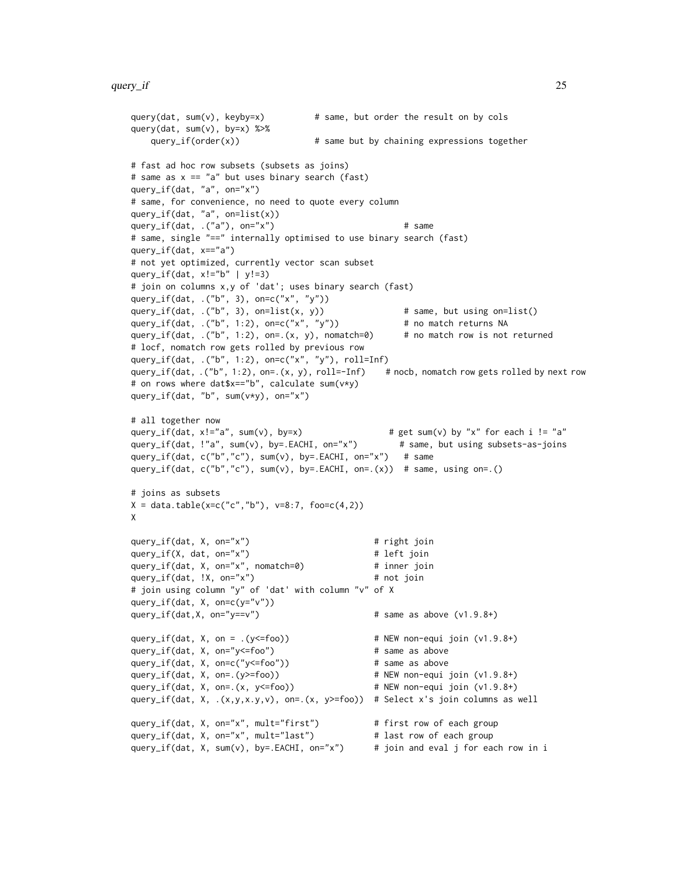```
query(dat, sum(v), keyby=x) \qquad # same, but order the result on by cols
query(dat, sum(v), by=x) %>%
   query_i f(order(x)) # same but by chaining expressions together
# fast ad hoc row subsets (subsets as joins)
# same as x == "a" but uses binary search (fast)
query_if(dat, "a", on="x")
# same, for convenience, no need to quote every column
query_if(dat, "a", on=list(x))
query_if(dat, .("a"), on="x") # same
# same, single "==" internally optimised to use binary search (fast)
query_if(dat, x=="a")
# not yet optimized, currently vector scan subset
query_if(dat, x!="b" | y!=3)
# join on columns x,y of 'dat'; uses binary search (fast)
query_if(dat, .("b", 3), on=c("x", "y"))
query_if(dat, .("b", 3), on=list(x, y)) # same, but using on=list()
query_if(dat, .("b", 1:2), on=c("x", "y")) # no match returns NA
query_if(dat, .("b", 1:2), on=.(x, y), nomatch=0) # no match row is not returned
# locf, nomatch row gets rolled by previous row
query_if(dat, .("b", 1:2), on=c("x", "y"), roll=Inf)
query_if(dat, .("b", 1:2), on=.(x, y), roll=-Inf) # nocb, nomatch row gets rolled by next row
# on rows where dat$x=="b", calculate sum(v*y)
query_if(dat, "b", sum(v*y), on="x")
# all together now<br>query_if(dat, x!="a", sum(v), by=x)
                                              # get sum(v) by "x" for each i != "a"
query_if(dat, !"a", sum(v), by=.EACHI, on="x") # same, but using subsets-as-joins
query_if(dat, c("b","c"), sum(v), by=.EACHI, on="x") # same
query_if(dat, c("b","c"), sum(v), by=.EACHI, on=.(x)) # same, using on=.()
# joins as subsets
X = data.title(x=c("c", "b"), v=8:7, foo=c(4,2))X
query_if(dat, X, on="x") # right join
query_if(X, dat, on="x") # left join
query_if(dat, X, on="x", nomatch=0) # inner join
query_if(dat, !X, on="x") # not join
# join using column "y" of 'dat' with column "v" of X
query_if(dat, X, on=c(y = "v"))
query_if(dat,X, on="y==v") # same as above (v1.9.8+)
query_if(dat, X, on = .(y<=foo)) # NEW non-equi join (v1.9.8+)
query_if(dat, X, on="y<=foo") # same as above
query_if(dat, X, on=c("y<=foo")) # same as above
query_if(dat, X, on=.(y>=foo)) # NEW non-equi join (v1.9.8+)
query_if(dat, X, on=.(x, y<=foo)) # NEW non-equi join (v1.9.8+)
query_if(dat, X, .(x,y,x.y,v), on=.(x, y>=foo)) # Select x's join columns as well
query_if(dat, X, on="x", mult="first") # first row of each group
query_if(dat, X, on="x", mult="last") # last row of each group
query_if(dat, X, sum(v), by=.EACHI, on="x") # join and eval j for each row in i
```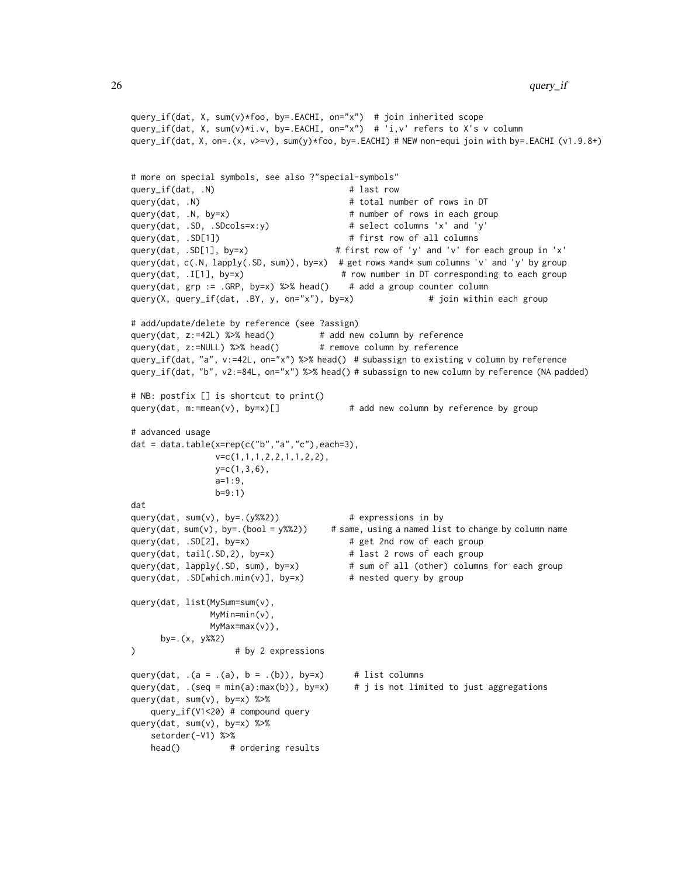```
query_if(dat, X, sum(v)*foo, by=.EACHI, on="x") # join inherited scope
query_if(dat, X, sum(v)*i.v, by=.EACHI, on="x") # 'i,v' refers to X's v column
query_if(dat, X, on=.(x, v>=v), sum(y)*foo, by=.EACHI) # NEW non-equi join with by=.EACHI (v1.9.8+)
# more on special symbols, see also ?"special-symbols"
query_if(dat, .N) # last row
query(dat, .N) \qquad # total number of rows in DT
query(dat, .N, by=x) \qquad # number of rows in each group
query(dat, .SD, .SDcols=x:y) # select columns 'x' and 'y'
query(dat, .SD[1]) # first row of all columns
query(dat, .SD[1], by=x) # first row of 'y' and 'v' for each group in 'x'
query(dat, c(.N, lapply(.SD, sum)), by=x) # get rows *and* sum columns 'v' and 'y' by group
query(dat, .I[1], by=x) # row number in DT corresponding to each group
query(dat, grp := .GRP, by=x) %>% head() # add a group counter column
query(X, query_if(dat, .BY, y, on="x"), by=x) # join within each group
# add/update/delete by reference (see ?assign)
query(dat, z:=42L) %>% head() # add new column by reference
query(dat, z:=NULL) %>% head() # remove column by reference
query_if(dat, "a", v:=42L, on="x") %>% head() # subassign to existing v column by reference
query_if(dat, "b", v2:=84L, on="x") %>% head() # subassign to new column by reference (NA padded)
# NB: postfix [] is shortcut to print()
query(dat, m:=mean(v), by=x)[] # add new column by reference by group
# advanced usage
dat = data.table(x = rep(c("b", "a", "c"), each=3),v=c(1,1,1,2,2,1,1,2,2),
               y=c(1,3,6),
               a=1:9,
               b=9:1)
dat
query(dat, sum(v), by=.(y%%2)) \qquad \qquad # expressions in byquery(dat, sum(v), by=.(bool = y%%2)) # same, using a named list to change by column name
query(dat, .SD[2], by=x) # get 2nd row of each group
query(dat, tail(.SD,2), by=x) # last 2 rows of each group
query(dat, lapply(.SD, sum), by=x) # sum of all (other) columns for each group
query(dat, .SD[which.min(v)], by=x) # nested query by group
query(dat, list(MySum=sum(v),
              MyMin=min(v),
              MyMax=max(v)),
     by=.(x, y%%2)
) # by 2 expressions
query(dat, (a = .(a), b = .(b)), by=x # list columns
query(dat, .(seq = min(a):max(b)), by=x) # j is not limited to just aggregations
query(dat, sum(v), by=x) %>%
   query_if(V1<20) # compound query
query(dat, sum(v), by=x) %>%
   setorder(-V1) %>%
   head() # ordering results
```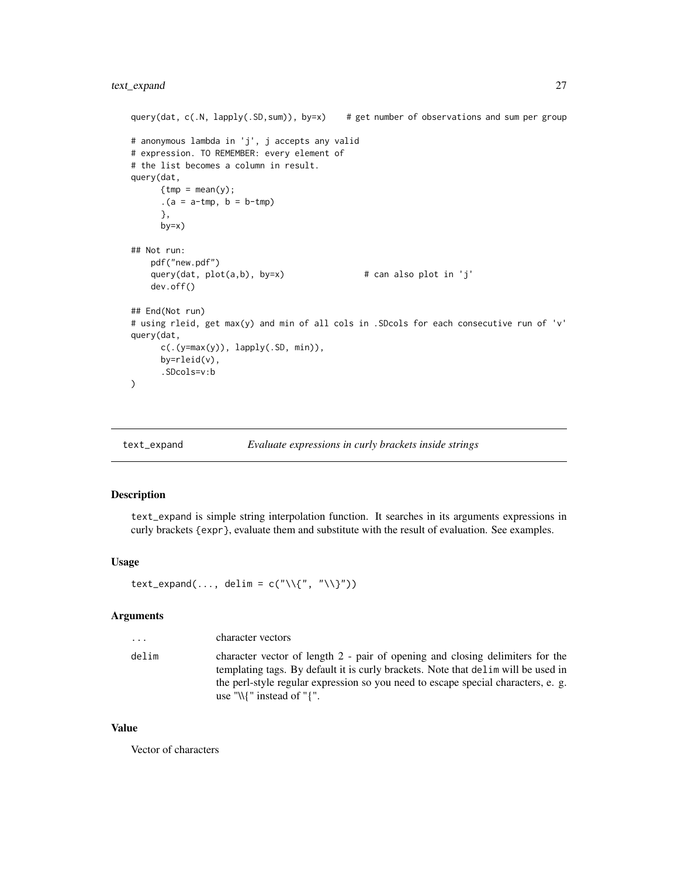```
query(dat, c(N, \text{lephy}(.SD, \text{sum})), by=x) # get number of observations and sum per group
# anonymous lambda in 'j', j accepts any valid
# expression. TO REMEMBER: every element of
# the list becomes a column in result.
query(dat,
      {tmp = mean(y)};(a = a - tmp, b = b - tmp)},
      by=x)
## Not run:
    pdf("new.pdf")
    query(dat, plot(a, b), by=x) # can also plot in 'j'
   dev.off()
## End(Not run)
# using rleid, get max(y) and min of all cols in .SDcols for each consecutive run of 'v'
query(dat,
      c(.(y=max(y)), lapply(.SD, min)),
      by=rleid(v),
      .SDcols=v:b
\overline{\phantom{a}}
```
<span id="page-26-1"></span>text\_expand *Evaluate expressions in curly brackets inside strings*

# Description

text\_expand is simple string interpolation function. It searches in its arguments expressions in curly brackets {expr}, evaluate them and substitute with the result of evaluation. See examples.

#### Usage

```
text_expand(..., delim = c("\\{\langle}", "\\{\rangle}"))
```
# Arguments

| $\cdot$ $\cdot$ $\cdot$ | character vectors                                                                                                                                                                                                                                                                          |
|-------------------------|--------------------------------------------------------------------------------------------------------------------------------------------------------------------------------------------------------------------------------------------------------------------------------------------|
| delim                   | character vector of length 2 - pair of opening and closing delimiters for the<br>templating tags. By default it is curly brackets. Note that delight will be used in<br>the perl-style regular expression so you need to escape special characters, e.g.<br>use "\\{" instead of " $\{$ ". |

#### Value

Vector of characters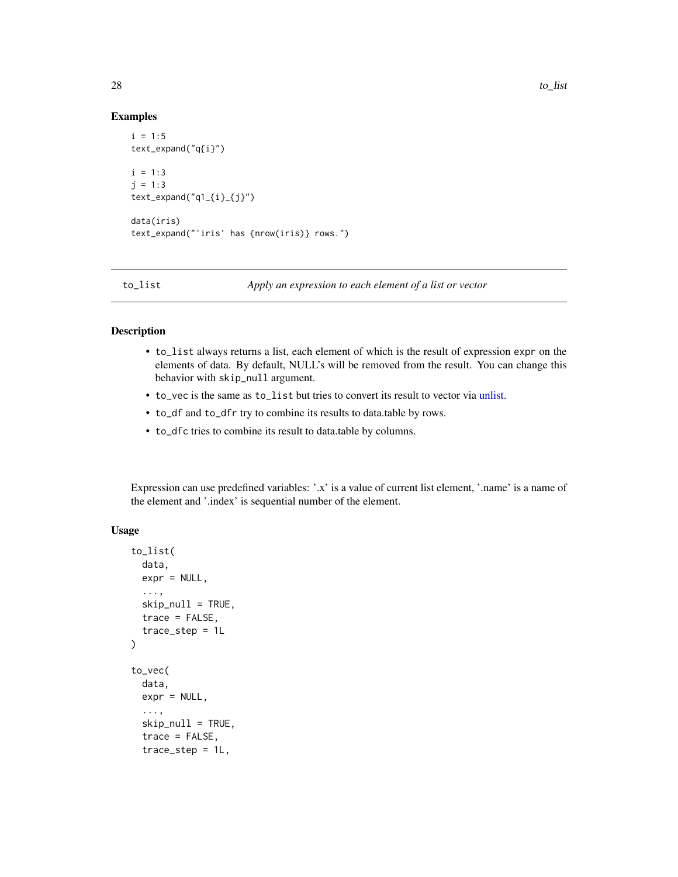#### Examples

```
i = 1:5text_expand("q{i}")
i = 1:3j = 1:3text_expand("q1_{i}_{j}")
data(iris)
text_expand("'iris' has {nrow(iris)} rows.")
```
to\_list *Apply an expression to each element of a list or vector*

### Description

- to\_list always returns a list, each element of which is the result of expression expr on the elements of data. By default, NULL's will be removed from the result. You can change this behavior with skip\_null argument.
- to\_vec is the same as to\_list but tries to convert its result to vector via [unlist.](#page-0-0)
- to\_df and to\_dfr try to combine its results to data.table by rows.
- to\_dfc tries to combine its result to data.table by columns.

Expression can use predefined variables: '.x' is a value of current list element, '.name' is a name of the element and '.index' is sequential number of the element.

# Usage

```
to_list(
  data,
  expr = NULL,
  ...,
  skip\_null = TRUE,
  trace = FALSE,
  trace_step = 1L
)
to_vec(
  data,
  expr = NULL,...,
  skip_null = TRUE,
  trace = FALSE,trace_step = 1L,
```
<span id="page-27-0"></span>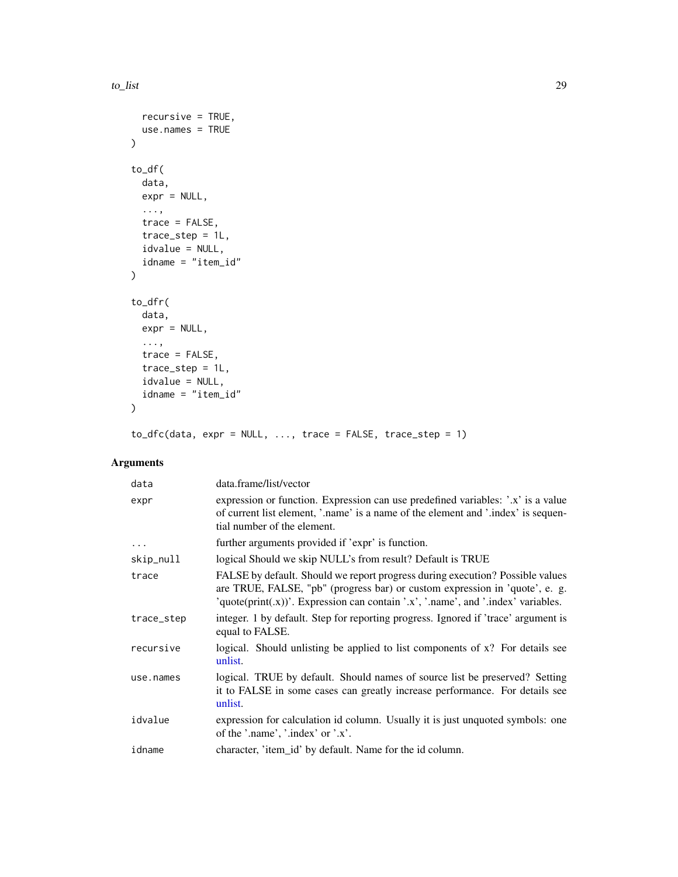```
recursive = TRUE,
  use.names = TRUE
\lambdato_df(
  data,
  expr = NULL,...,
  trace = FALSE,
  trace_step = 1L,
  idvalue = NULL,
  idname = "item_id"
\mathcal{L}to_dfr(
  data,
  expr = NULL,
  ...,
  trace = FALSE,
  trace_step = 1L,
  idvalue = NULL,
  idname = "item_id"
\mathcal{L}
```
 $to_d$ fc(data, expr = NULL, ..., trace = FALSE, trace\_step = 1)

| data       | data.frame/list/vector                                                                                                                                                                                                                            |
|------------|---------------------------------------------------------------------------------------------------------------------------------------------------------------------------------------------------------------------------------------------------|
| expr       | expression or function. Expression can use predefined variables: '.x' is a value<br>of current list element, '.name' is a name of the element and '.index' is sequen-<br>tial number of the element.                                              |
| $\cdots$   | further arguments provided if 'expr' is function.                                                                                                                                                                                                 |
| skip_null  | logical Should we skip NULL's from result? Default is TRUE                                                                                                                                                                                        |
| trace      | FALSE by default. Should we report progress during execution? Possible values<br>are TRUE, FALSE, "pb" (progress bar) or custom expression in 'quote', e. g.<br>'quote(print(.x))'. Expression can contain '.x', '.name', and '.index' variables. |
| trace_step | integer. 1 by default. Step for reporting progress. Ignored if 'trace' argument is<br>equal to FALSE.                                                                                                                                             |
| recursive  | logical. Should unlisting be applied to list components of x? For details see<br>unlist.                                                                                                                                                          |
| use.names  | logical. TRUE by default. Should names of source list be preserved? Setting<br>it to FALSE in some cases can greatly increase performance. For details see<br>unlist.                                                                             |
| idvalue    | expression for calculation id column. Usually it is just unquoted symbols: one<br>of the '.name', '.index' or '.x'.                                                                                                                               |
| idname     | character, 'item_id' by default. Name for the id column.                                                                                                                                                                                          |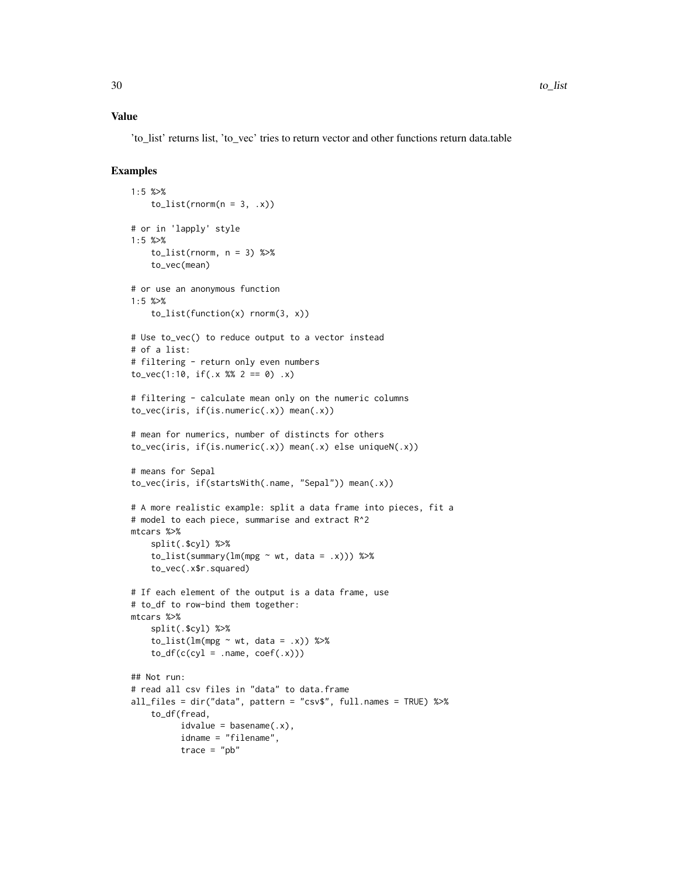# Value

'to\_list' returns list, 'to\_vec' tries to return vector and other functions return data.table

```
1:5 %>%
   toList(rnorm(n = 3, .x))
# or in 'lapply' style
1:5 %>%
    tolist(rnorm, n = 3) %>%
    to_vec(mean)
# or use an anonymous function
1:5 %>%
    to_list(function(x) rnorm(3, x))
# Use to_vec() to reduce output to a vector instead
# of a list:
# filtering - return only even numbers
to_vec(1:10, if(.x % 2 == 0) .x)
# filtering - calculate mean only on the numeric columns
to_vec(iris, if(is.numeric(.x)) mean(.x))
# mean for numerics, number of distincts for others
to_vec(iris, if(is.numeric(.x)) mean(.x) else uniqueN(.x))
# means for Sepal
to_vec(iris, if(startsWith(.name, "Sepal")) mean(.x))
# A more realistic example: split a data frame into pieces, fit a
# model to each piece, summarise and extract R^2
mtcars %>%
    split(.$cyl) %>%
    tolist(summary(lm(mpg ~ wt, data = .x))) %>%
    to_vec(.x$r.squared)
# If each element of the output is a data frame, use
# to_df to row-bind them together:
mtcars %>%
    split(.$cyl) %>%
    tolist(lm(mpg ~ wt, data = .x)) %>%
    to_d f(c(cyl = .name, coef(.x)))## Not run:
# read all csv files in "data" to data.frame
all_files = dir("data", pattern = "csv$", full.names = TRUE) %>%
    to_df(fread,
         idvalue = basename(.x),
         idname = "filename",
         trace = "pb"
```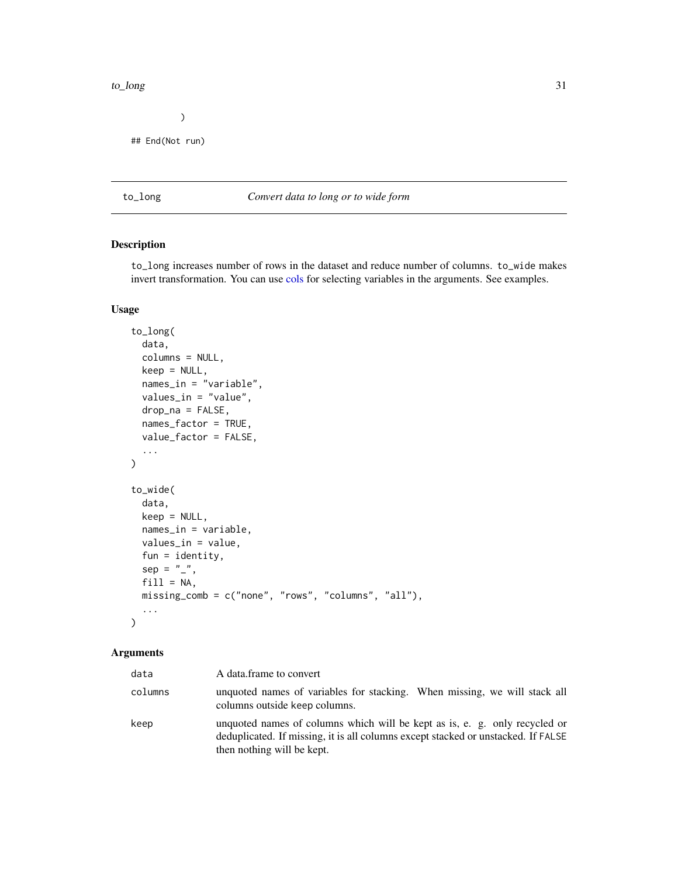#### <span id="page-30-0"></span>to\_long 31

 $\overline{\phantom{a}}$ 

## End(Not run)

# to\_long *Convert data to long or to wide form*

# Description

to\_long increases number of rows in the dataset and reduce number of columns. to\_wide makes invert transformation. You can use [cols](#page-2-1) for selecting variables in the arguments. See examples.

# Usage

```
to_long(
  data,
  columns = NULL,
  keep = NULL,names_in = "variable",
  values_in = "value",
  drop_na = FALSE,
  names_factor = TRUE,
  value_factor = FALSE,
  ...
\overline{\phantom{a}}to_wide(
  data,
  keep = NULL,
  names_in = variable,
  values_in = value,
  fun = identity,
  sep = "",
  fill = NA,missing_comb = c("none", "rows", "columns", "all"),
  ...
\mathcal{L}
```

| data    | A data frame to convert                                                                                                                                                                       |
|---------|-----------------------------------------------------------------------------------------------------------------------------------------------------------------------------------------------|
| columns | unquoted names of variables for stacking. When missing, we will stack all<br>columns outside keep columns.                                                                                    |
| keep    | unquoted names of columns which will be kept as is, e. g. only recycled or<br>deduplicated. If missing, it is all columns except stacked or unstacked. If FALSE<br>then nothing will be kept. |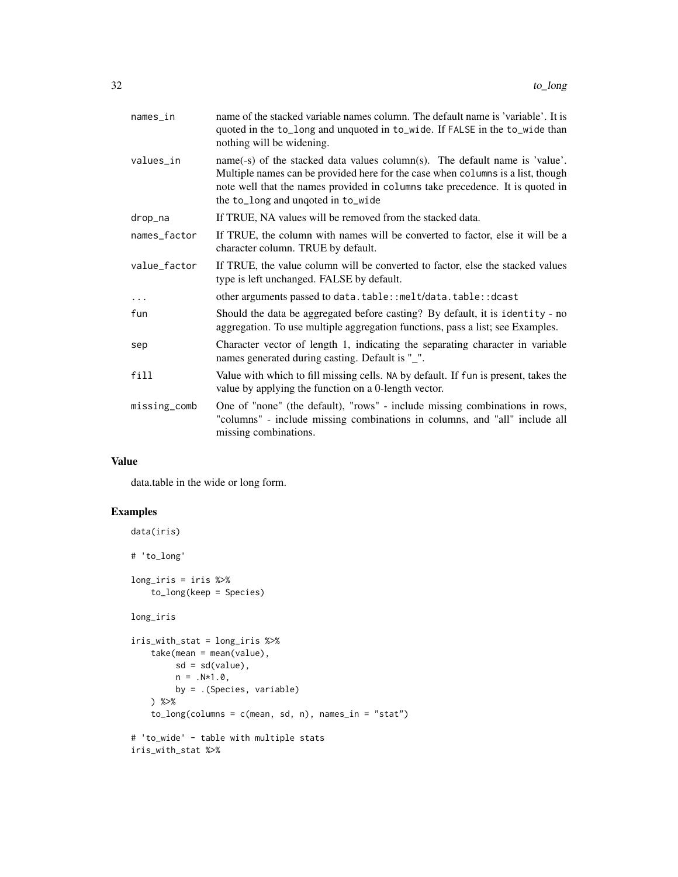| $names_in$   | name of the stacked variable names column. The default name is 'variable'. It is<br>quoted in the to_long and unquoted in to_wide. If FALSE in the to_wide than<br>nothing will be widening.                                                                                          |
|--------------|---------------------------------------------------------------------------------------------------------------------------------------------------------------------------------------------------------------------------------------------------------------------------------------|
| values_in    | name(-s) of the stacked data values column(s). The default name is 'value'.<br>Multiple names can be provided here for the case when columns is a list, though<br>note well that the names provided in columns take precedence. It is quoted in<br>the to_long and unqoted in to_wide |
| drop_na      | If TRUE, NA values will be removed from the stacked data.                                                                                                                                                                                                                             |
| names_factor | If TRUE, the column with names will be converted to factor, else it will be a<br>character column. TRUE by default.                                                                                                                                                                   |
| value_factor | If TRUE, the value column will be converted to factor, else the stacked values<br>type is left unchanged. FALSE by default.                                                                                                                                                           |
| $\cdots$     | other arguments passed to data.table::melt/data.table::dcast                                                                                                                                                                                                                          |
| fun          | Should the data be aggregated before casting? By default, it is identity - no<br>aggregation. To use multiple aggregation functions, pass a list; see Examples.                                                                                                                       |
| sep          | Character vector of length 1, indicating the separating character in variable<br>names generated during casting. Default is "_".                                                                                                                                                      |
| fill         | Value with which to fill missing cells. NA by default. If fun is present, takes the<br>value by applying the function on a 0-length vector.                                                                                                                                           |
| missing_comb | One of "none" (the default), "rows" - include missing combinations in rows,<br>"columns" - include missing combinations in columns, and "all" include all<br>missing combinations.                                                                                                    |
|              |                                                                                                                                                                                                                                                                                       |

# Value

data.table in the wide or long form.

```
data(iris)
# 'to_long'
long_iris = iris %>%
    to_long(keep = Species)
long_iris
iris_with_stat = long_iris %>%
    take(mean = mean(value),
        sd = sd(value),
        n = .N*1.0,
        by = .(Species, variable)
    ) %>%
    to_long(columns = c(mean, sd, n), names_in = "stat")
# 'to_wide' - table with multiple stats
iris_with_stat %>%
```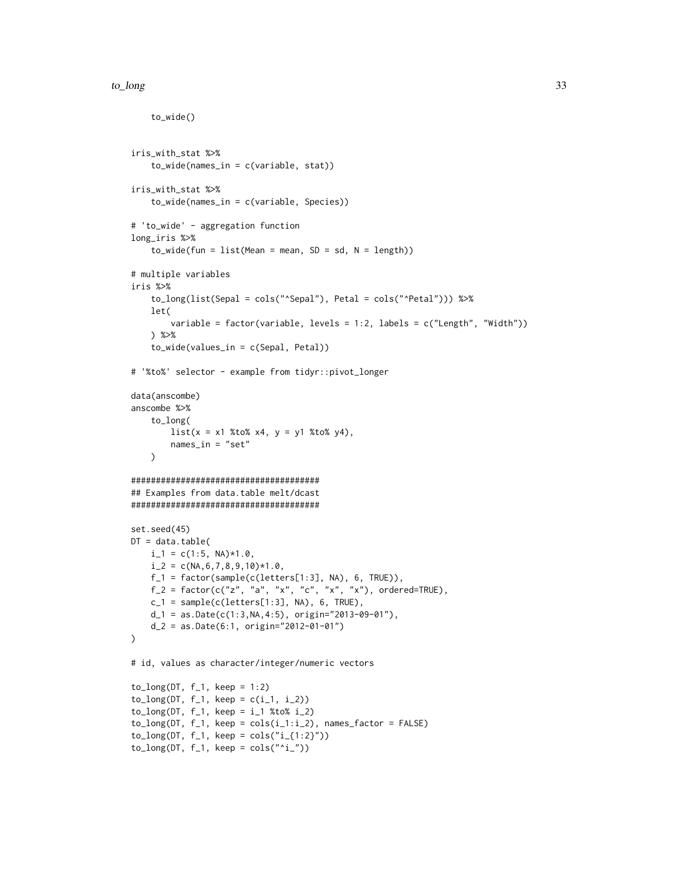#### to\_long 33

to\_wide()

```
iris_with_stat %>%
    to_wide(names_in = c(variable, stat))
iris_with_stat %>%
    to_wide(names_in = c(variable, Species))
# 'to_wide' - aggregation function
long_iris %>%
    to_wide(fun = list(Mean = mean, SD = sd, N = length))# multiple variables
iris %>%
    to_long(list(Sepal = cols("^Sepal"), Petal = cols("^Petal"))) %>%
    let(
        variable = factor(variable, levels = 1:2, labels = c("Length", "Width"))
    ) %>%
    to_wide(values_in = c(Sepal, Petal))
# '%to%' selector - example from tidyr::pivot_longer
data(anscombe)
anscombe %>%
    to_long(
       list(x = x1 % to % x4, y = y1 % to % y4),names_in = "set"
    )
######################################
## Examples from data.table melt/dcast
######################################
set.seed(45)
DT = data.title(i_{-1} = c(1:5, NA)*1.0,i_{-2} = c(NA, 6, 7, 8, 9, 10)*1.0,f_1 = factor(sample(c(leftters[1:3], NA), 6, TRUE)),f_2 = factor(c("z", "a", "x", "c", "x", "x"), ordered=TRUE),
   c_1 = sample(c(letters[1:3], NA), 6, TRUE),
   d_1 = as.Date(c(1:3, NA, 4:5), origin="2013-09-01''),
   d_2 = as.Date(6:1, origin="2012-01-01")
\lambda# id, values as character/integer/numeric vectors
to\_long(DT, f_1, keep = 1:2)to_{log(DT, f_1, keep = c(i_1, i_2))to_{log(DT, f_1, keep = i_1 % to _i = 2)to\_long(DT, f_1, keep = cols(i_1:i_2), names_factor = FALSE)to_{log(DT, f_1, keep = cols("i_{1:1:2})")to\_long(DT, f_1, keep = cols("i_2")
```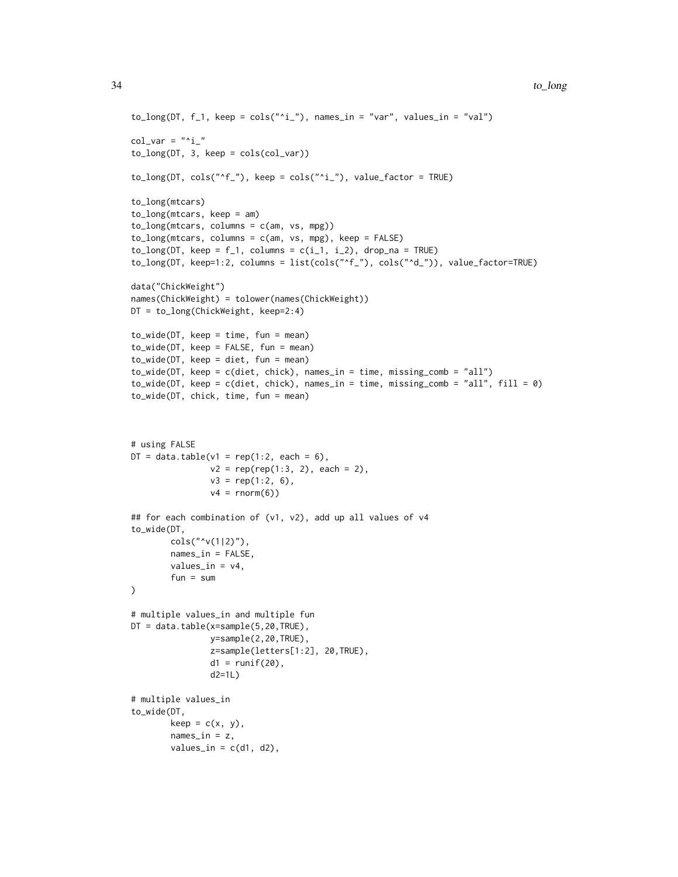```
to_{log(DT, f_1, keep = cols("i_"), names_in = "var", values_in = "val")col\_var = "^ito\_long(DT, 3, keep = cols,col\_var))to\_long(DT, cols("`f_"), keep = cols("`i_"), value_factor = TRUE)
to_long(mtcars)
to_long(mtcars, keep = am)
to_long(mtcars, columns = c(am, vs, mpg))
to\_long(mtcars, columns = c(am, vs, mpg), keep = FALSE)to\_long(DT, keep = f_1, columns = c(i_1, i_2), drop\_na = TRUE)to_long(DT, keep=1:2, columns = list(cols("^f_"), cols("^d_")), value_factor=TRUE)
data("ChickWeight")
names(ChickWeight) = tolower(names(ChickWeight))
DT = to_long(ChickWeight, keep=2:4)
to_wide(DT, keep = time, fun = mean)
to_wide(DT, keep = FALSE, fun = mean)
to_wide(DT, keep = diet, fun = mean)
to_wide(DT, keep = c(diet, chick), names_in = time, missing_comb = "all")
to_wide(DT, keep = c(diet, chick), names_in = time, missing_comb = "all", fill = 0)
to_wide(DT, chick, time, fun = mean)
# using FALSE
DT = data.title(v1 = rep(1:2, each = 6),v2 = rep(rep(1:3, 2), each = 2),v3 = rep(1:2, 6),v4 = rnorm(6)## for each combination of (v1, v2), add up all values of v4
to_wide(DT,
        cols("^v(1|2)"),
       names_in = FALSE,
       values_in = v4,
        fun = sum
)
# multiple values_in and multiple fun
DT = data.table(x=sample(5,20,TRUE),
                y=sample(2,20,TRUE),
                z=sample(letters[1:2], 20,TRUE),
                d1 = runif(20),
                d2=1L)
# multiple values_in
to_wide(DT,
       keep = c(x, y),
        names_in = z,
        values_in = c(d1, d2),
```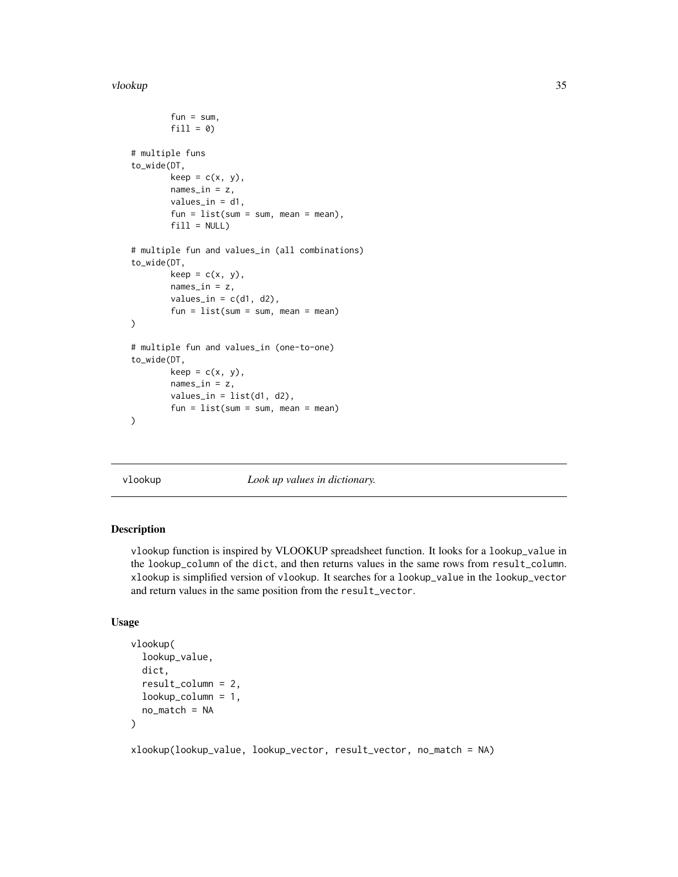#### <span id="page-34-0"></span>vlookup 35

```
fun = sum,fill = 0)# multiple funs
to_wide(DT,
        keep = c(x, y),
        names_in = z,
        values_in = d1,
        fun = list(sum = sum, mean = mean),
        fill = NULL)# multiple fun and values_in (all combinations)
to_wide(DT,
        keep = c(x, y),
        names_in = z,
        values_in = c(d1, d2),fun = list(sum = sum, mean = mean)
\mathcal{L}# multiple fun and values_in (one-to-one)
to_wide(DT,
        keep = c(x, y),
        names_in = z,
        values_in = list(d1, d2),
        fun = list(sum = sum, mean = mean)
)
```
vlookup *Look up values in dictionary.*

### Description

vlookup function is inspired by VLOOKUP spreadsheet function. It looks for a lookup\_value in the lookup\_column of the dict, and then returns values in the same rows from result\_column. xlookup is simplified version of vlookup. It searches for a lookup\_value in the lookup\_vector and return values in the same position from the result\_vector.

#### Usage

```
vlookup(
  lookup_value,
  dict,
  result_column = 2,
  lookup_column = 1,
  no_match = NA
)
```
xlookup(lookup\_value, lookup\_vector, result\_vector, no\_match = NA)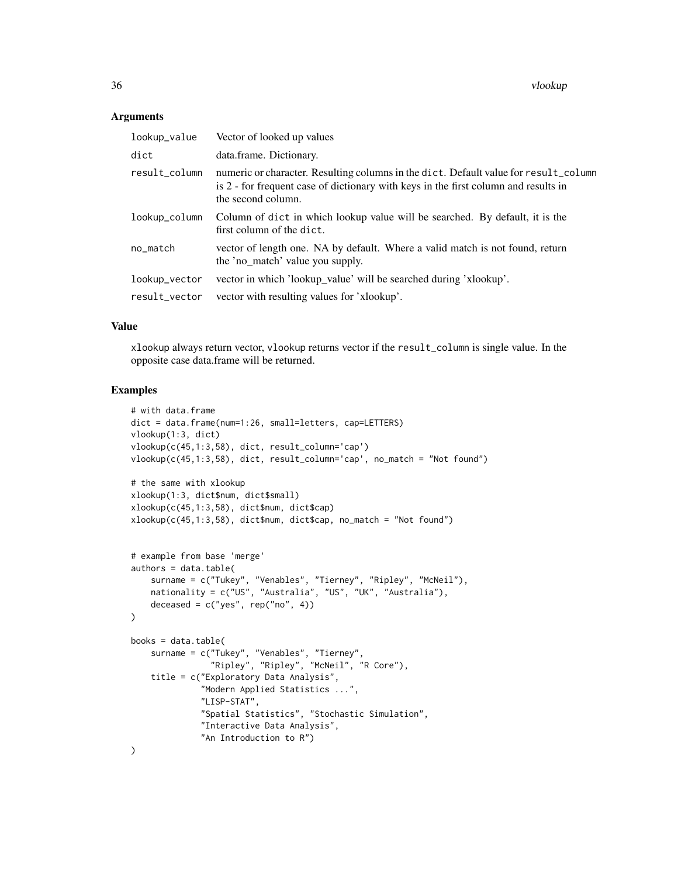36 vlookup

#### **Arguments**

| lookup_value  | Vector of looked up values                                                                                                                                                                        |
|---------------|---------------------------------------------------------------------------------------------------------------------------------------------------------------------------------------------------|
| dict          | data.frame. Dictionary.                                                                                                                                                                           |
| result_column | numeric or character. Resulting columns in the dict. Default value for result_column<br>is 2 - for frequent case of dictionary with keys in the first column and results in<br>the second column. |
| lookup_column | Column of dict in which lookup value will be searched. By default, it is the<br>first column of the dict.                                                                                         |
| no_match      | vector of length one. NA by default. Where a valid match is not found, return<br>the 'no_match' value you supply.                                                                                 |
| lookup_vector | vector in which 'lookup_value' will be searched during 'xlookup'.                                                                                                                                 |
| result_vector | vector with resulting values for 'xlookup'.                                                                                                                                                       |

#### Value

xlookup always return vector, vlookup returns vector if the result\_column is single value. In the opposite case data.frame will be returned.

```
# with data.frame
dict = data.frame(num=1:26, small=letters, cap=LETTERS)
vlookup(1:3, dict)
vlookup(c(45,1:3,58), dict, result_column='cap')
vlookup(c(45,1:3,58), dict, result_column='cap', no_match = "Not found")
# the same with xlookup
xlookup(1:3, dict$num, dict$small)
xlookup(c(45,1:3,58), dict$num, dict$cap)
xlookup(c(45,1:3,58), dict$num, dict$cap, no_match = "Not found")
# example from base 'merge'
authors = data.table(
    surname = c("Tukey", "Venables", "Tierney", "Ripley", "McNeil"),
   nationality = c("US", "Australia", "US", "UK", "Australia"),
    deceased = c("yes", rep("no", 4))\mathcal{L}books = data.table(
    surname = c("Tukey", "Venables", "Tierney",
                "Ripley", "Ripley", "McNeil", "R Core"),
    title = c("Exploratory Data Analysis",
              "Modern Applied Statistics ...",
              "LISP-STAT",
              "Spatial Statistics", "Stochastic Simulation",
              "Interactive Data Analysis",
              "An Introduction to R")
)
```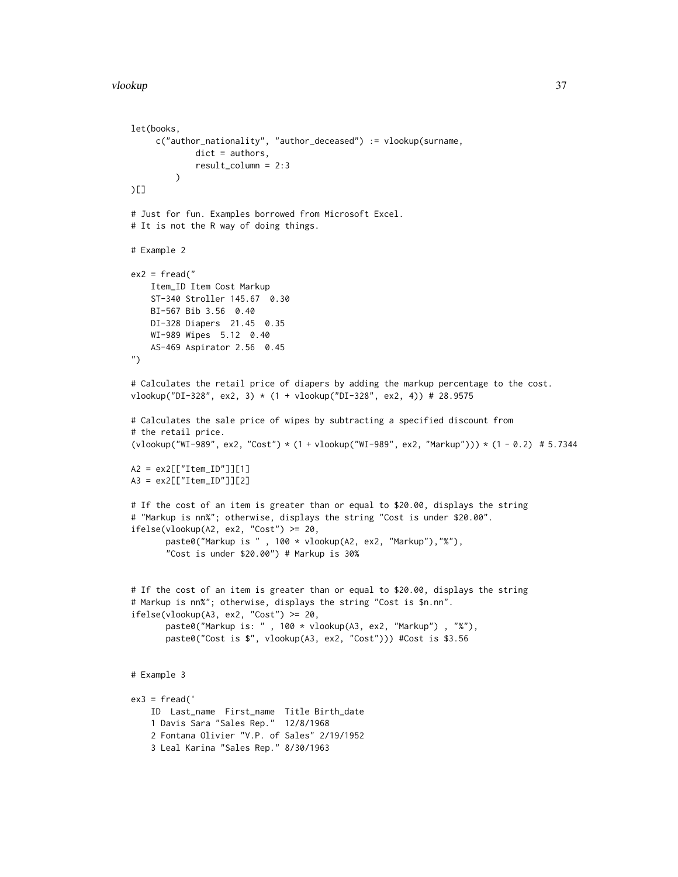```
let(books,
     c("author_nationality", "author_deceased") := vlookup(surname,
            dict = authors,
             result_column = 2:3
        )
)[]
# Just for fun. Examples borrowed from Microsoft Excel.
# It is not the R way of doing things.
# Example 2
ex2 = fread("Item_ID Item Cost Markup
   ST-340 Stroller 145.67 0.30
   BI-567 Bib 3.56 0.40
   DI-328 Diapers 21.45 0.35
   WI-989 Wipes 5.12 0.40
   AS-469 Aspirator 2.56 0.45
")
# Calculates the retail price of diapers by adding the markup percentage to the cost.
vlookup("DI-328", ex2, 3) * (1 + vlookup("DI-328", ex2, 4)) # 28.9575
# Calculates the sale price of wipes by subtracting a specified discount from
# the retail price.
(vlookup("WI-989", ex2, "Cost") * (1 + vlookup("WI-989", ex2, "Markup"))) * (1 - 0.2) # 5.7344
A2 = ex2[["Item_ID"]][1]
A3 = ex2[["Item_ID"]][2]
# If the cost of an item is greater than or equal to $20.00, displays the string
# "Markup is nn%"; otherwise, displays the string "Cost is under $20.00".
ifelse(vlookup(A2, ex2, "Cost") >= 20,paste0("Markup is " , 100 * vlookup(A2, ex2, "Markup"),"%"),
       "Cost is under $20.00") # Markup is 30%
# If the cost of an item is greater than or equal to $20.00, displays the string
# Markup is nn%"; otherwise, displays the string "Cost is $n.nn".
ifelse(vlookup(A3, ex2, "Cost") >= 20,
       paste0("Markup is: " , 100 * vlookup(A3, ex2, "Markup") , "%"),
       paste0("Cost is $", vlookup(A3, ex2, "Cost"))) #Cost is $3.56
# Example 3
ex3 = fread('ID Last_name First_name Title Birth_date
    1 Davis Sara "Sales Rep." 12/8/1968
    2 Fontana Olivier "V.P. of Sales" 2/19/1952
    3 Leal Karina "Sales Rep." 8/30/1963
```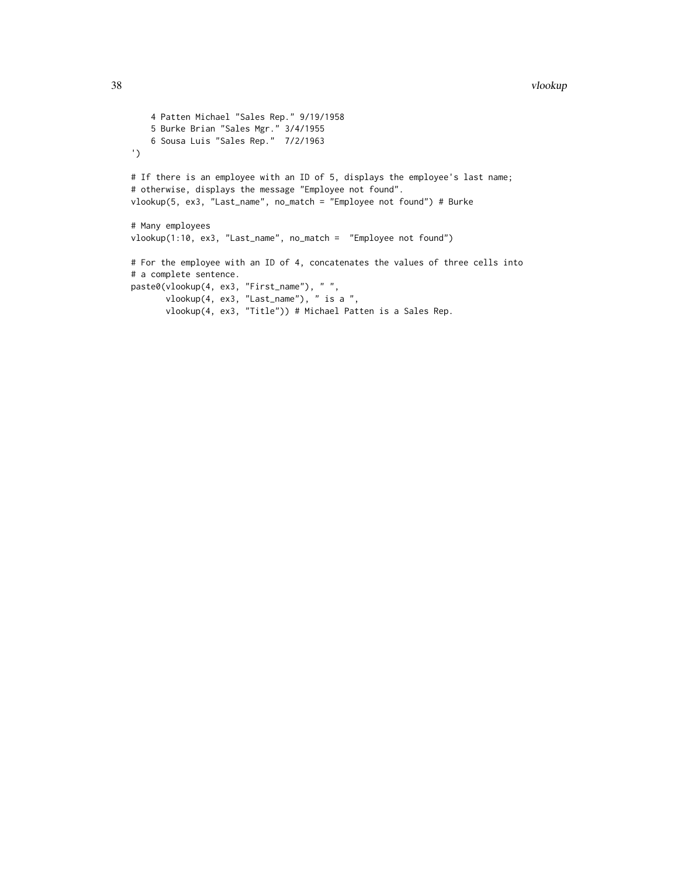```
4 Patten Michael "Sales Rep." 9/19/1958
   5 Burke Brian "Sales Mgr." 3/4/1955
   6 Sousa Luis "Sales Rep." 7/2/1963
')
# If there is an employee with an ID of 5, displays the employee's last name;
# otherwise, displays the message "Employee not found".
vlookup(5, ex3, "Last_name", no_match = "Employee not found") # Burke
# Many employees
vlookup(1:10, ex3, "Last_name", no_match = "Employee not found")
# For the employee with an ID of 4, concatenates the values of three cells into
# a complete sentence.
paste0(vlookup(4, ex3, "First_name"), " ",
      vlookup(4, ex3, "Last_name"), " is a ",
       vlookup(4, ex3, "Title")) # Michael Patten is a Sales Rep.
```